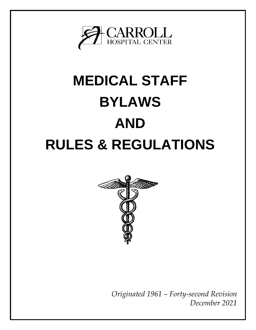

# **MEDICAL STAFF BYLAWS AND RULES & REGULATIONS**



*Originated 1961 – Forty-second Revision December 2021*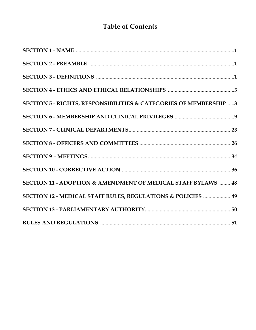# **Table of Contents**

| SECTION 5 - RIGHTS, RESPONSIBILITIES & CATEGORIES OF MEMBERSHIP3 |  |
|------------------------------------------------------------------|--|
|                                                                  |  |
|                                                                  |  |
|                                                                  |  |
|                                                                  |  |
|                                                                  |  |
| SECTION 11 - ADOPTION & AMENDMENT OF MEDICAL STAFF BYLAWS 48     |  |
| SECTION 12 - MEDICAL STAFF RULES, REGULATIONS & POLICIES 49      |  |
|                                                                  |  |
|                                                                  |  |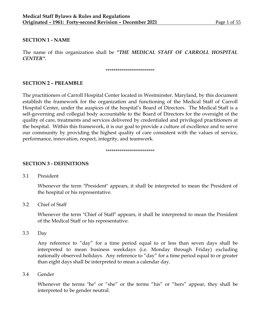#### **SECTION 1 - NAME**

The name of this organization shall be *"THE MEDICAL STAFF OF CARROLL HOSPITAL CENTER".*

#### \*\*\*\*\*\*\*\*\*\*\*\*\*\*\*\*\*\*\*\*\*\*\*\*\*

## **SECTION 2 – PREAMBLE**

The practitioners of Carroll Hospital Center located in Westminster, Maryland, by this document establish the framework for the organization and functioning of the Medical Staff of Carroll Hospital Center, under the auspices of the hospital's Board of Directors. The Medical Staff is a self-governing and collegial body accountable to the Board of Directors for the oversight of the quality of care, treatments and services delivered by credentialed and privileged practitioners at the hospital. Within this framework, it is our goal to provide a culture of excellence and to serve our community by providing the highest quality of care consistent with the values of service, performance, innovation, respect, integrity, and teamwork.

#### \*\*\*\*\*\*\*\*\*\*\*\*\*\*\*\*\*\*\*\*\*\*\*\*\*

#### **SECTION 3 - DEFINITIONS**

3.1 President

Whenever the term "President" appears, it shall be interpreted to mean the President of the hospital or his representative.

3.2 Chief of Staff

Whenever the term "Chief of Staff" appears, it shall be interpreted to mean the President of the Medical Staff or his representative.

3.3 Day

Any reference to "day" for a time period equal to or less than seven days shall be interpreted to mean business weekdays (i.e. Monday through Friday) excluding nationally observed holidays. Any reference to "day" for a time period equal to or greater than eight days shall be interpreted to mean a calendar day.

3.4 Gender

Whenever the terms "he" or "she" or the terms "his" or "hers" appear, they shall be interpreted to be gender neutral.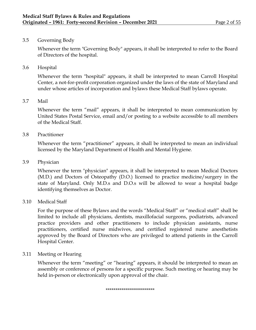# 3.5 Governing Body

Whenever the term "Governing Body" appears, it shall be interpreted to refer to the Board of Directors of the hospital.

3.6 Hospital

Whenever the term "hospital" appears, it shall be interpreted to mean Carroll Hospital Center, a not-for-profit corporation organized under the laws of the state of Maryland and under whose articles of incorporation and bylaws these Medical Staff bylaws operate.

# 3.7 Mail

Whenever the term "mail" appears, it shall be interpreted to mean communication by United States Postal Service, email and/or posting to a website accessible to all members of the Medical Staff.

# 3.8 Practitioner

Whenever the term "practitioner" appears, it shall be interpreted to mean an individual licensed by the Maryland Department of Health and Mental Hygiene.

# 3.9 Physician

Whenever the term "physician" appears, it shall be interpreted to mean Medical Doctors (M.D.) and Doctors of Osteopathy (D.O.) licensed to practice medicine/surgery in the state of Maryland. Only M.D.s and D.O.s will be allowed to wear a hospital badge identifying themselves as Doctor.

## 3.10 Medical Staff

For the purpose of these Bylaws and the words "Medical Staff" or "medical staff" shall be limited to include all physicians, dentists, maxillofacial surgeons, podiatrists, advanced practice providers and other practitioners to include physician assistants, nurse practitioners, certified nurse midwives, and certified registered nurse anesthetists approved by the Board of Directors who are privileged to attend patients in the Carroll Hospital Center.

## 3.11 Meeting or Hearing

Whenever the term "meeting" or "hearing" appears, it should be interpreted to mean an assembly or conference of persons for a specific purpose. Such meeting or hearing may be held in-person or electronically upon approval of the chair.

#### \*\*\*\*\*\*\*\*\*\*\*\*\*\*\*\*\*\*\*\*\*\*\*\*\*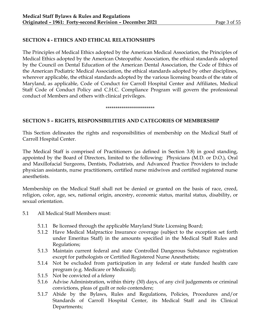# **SECTION 4 - ETHICS AND ETHICAL RELATIONSHIPS**

The Principles of Medical Ethics adopted by the American Medical Association, the Principles of Medical Ethics adopted by the American Osteopathic Association, the ethical standards adopted by the Council on Dental Education of the American Dental Association, the Code of Ethics of the American Podiatric Medical Association, the ethical standards adopted by other disciplines, wherever applicable, the ethical standards adopted by the various licensing boards of the state of Maryland, as applicable, Code of Conduct for Carroll Hospital Center and Affiliates, Medical Staff Code of Conduct Policy and C.H.C. Compliance Program will govern the professional conduct of Members and others with clinical privileges.

#### \*\*\*\*\*\*\*\*\*\*\*\*\*\*\*\*\*\*\*\*\*\*\*\*\*

# **SECTION 5 – RIGHTS, RESPONSIBILITIES AND CATEGORIES OF MEMBERSHIP**

This Section delineates the rights and responsibilities of membership on the Medical Staff of Carroll Hospital Center.

The Medical Staff is comprised of Practitioners (as defined in Section 3.8) in good standing, appointed by the Board of Directors, limited to the following: Physicians (M.D. or D.O.), Oral and Maxillofacial Surgeons, Dentists, Podiatrists, and Advanced Practice Providers to include physician assistants, nurse practitioners, certified nurse midwives and certified registered nurse anesthetists.

Membership on the Medical Staff shall not be denied or granted on the basis of race, creed, religion, color, age, sex, national origin, ancestry, economic status, marital status, disability, or sexual orientation.

- 5.1 All Medical Staff Members must:
	- 5.1.1 Be licensed through the applicable Maryland State Licensing Board;
	- 5.1.2 Have Medical Malpractice Insurance coverage (subject to the exception set forth under Emeritus Staff) in the amounts specified in the Medical Staff Rules and Regulations;
	- 5.1.3 Maintain current federal and state Controlled Dangerous Substance registration except for pathologists or Certified Registered Nurse Anesthetists;
	- 5.1.4 Not be excluded from participation in any federal or state funded health care program (e.g. Medicare or Medicaid);
	- 5.1.5 Not be convicted of a felony
	- 5.1.6 Advise Administration, within thirty (30) days, of any civil judgements or criminal convictions, pleas of guilt or nolo contendere;
	- 5.1.7 Abide by the Bylaws, Rules and Regulations, Policies, Procedures and/or Standards of Carroll Hospital Center, its Medical Staff and its Clinical Departments;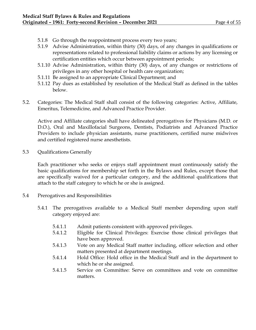- 5.1.8 Go through the reappointment process every two years;
- 5.1.9 Advise Administration, within thirty (30) days, of any changes in qualifications or representations related to professional liability claims or actions by any licensing or certification entities which occur between appointment periods;
- 5.1.10 Advise Administration, within thirty (30) days, of any changes or restrictions of privileges in any other hospital or health care organization;
- 5.1.11 Be assigned to an appropriate Clinical Department; and
- 5.1.12 Pay dues as established by resolution of the Medical Staff as defined in the tables below.
- 5.2. Categories: The Medical Staff shall consist of the following categories: Active, Affiliate, Emeritus, Telemedicine, and Advanced Practice Provider.

Active and Affiliate categories shall have delineated prerogatives for Physicians (M.D. or D.O.), Oral and Maxillofacial Surgeons, Dentists, Podiatrists and Advanced Practice Providers to include physician assistants, nurse practitioners, certified nurse midwives and certified registered nurse anesthetists.

5.3 Qualifications Generally

Each practitioner who seeks or enjoys staff appointment must continuously satisfy the basic qualifications for membership set forth in the Bylaws and Rules, except those that are specifically waived for a particular category, and the additional qualifications that attach to the staff category to which he or she is assigned.

- 5.4 Prerogatives and Responsibilities
	- 5.4.1 The prerogatives available to a Medical Staff member depending upon staff category enjoyed are:
		- 5.4.1.1 Admit patients consistent with approved privileges.
		- 5.4.1.2 Eligible for Clinical Privileges: Exercise those clinical privileges that have been approved.
		- 5.4.1.3 Vote on any Medical Staff matter including, officer selection and other matters presented at department meetings.
		- 5.4.1.4 Hold Office: Hold office in the Medical Staff and in the department to which he or she assigned.
		- 5.4.1.5 Service on Committee: Serve on committees and vote on committee matters.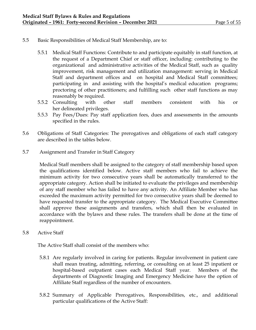- 5.5 Basic Responsibilities of Medical Staff Membership, are to:
	- 5.5.1 Medical Staff Functions: Contribute to and participate equitably in staff function, at the request of a Department Chief or staff officer, including: contributing to the organizational and administrative activities of the Medical Staff, such as quality improvement, risk management and utilization management: serving in Medical Staff and department offices and on hospital and Medical Staff committees; participating in and assisting with the hospital's medical education programs; proctoring of other practitioners; and fulfilling such other staff functions as may reasonably be required.
	- 5.5.2 Consulting with other staff members consistent with his or her delineated privileges.
	- 5.5.3 Pay Fees/Dues: Pay staff application fees, dues and assessments in the amounts specified in the rules.
- 5.6 Obligations of Staff Categories: The prerogatives and obligations of each staff category are described in the tables below.
- 5.7 Assignment and Transfer in Staff Category

Medical Staff members shall be assigned to the category of staff membership based upon the qualifications identified below. Active staff members who fail to achieve the minimum activity for two consecutive years shall be automatically transferred to the appropriate category. Action shall be initiated to evaluate the privileges and membership of any staff member who has failed to have any activity. An Affiliate Member who has exceeded the maximum activity permitted for two consecutive years shall be deemed to have requested transfer to the appropriate category. The Medical Executive Committee shall approve these assignments and transfers, which shall then be evaluated in accordance with the bylaws and these rules. The transfers shall be done at the time of reappointment.

5.8 Active Staff

The Active Staff shall consist of the members who:

- 5.8.1 Are regularly involved in caring for patients. Regular involvement in patient care shall mean treating, admitting, referring, or consulting on at least 25 inpatient or hospital-based outpatient cases each Medical Staff year. Members of the departments of Diagnostic Imaging and Emergency Medicine have the option of Affiliate Staff regardless of the number of encounters.
- 5.8.2 Summary of Applicable Prerogatives, Responsibilities, etc., and additional particular qualifications of the Active Staff: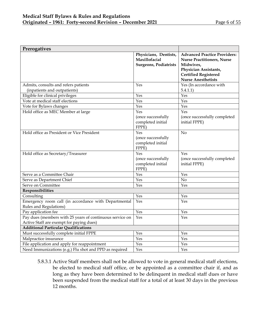| Prerogatives                                                                                         |                                                                        |                                                                                                                                                                            |
|------------------------------------------------------------------------------------------------------|------------------------------------------------------------------------|----------------------------------------------------------------------------------------------------------------------------------------------------------------------------|
|                                                                                                      | Physicians, Dentists,<br>Maxillofacial<br><b>Surgeons, Podiatrists</b> | <b>Advanced Practice Providers:</b><br><b>Nurse Practitioners, Nurse</b><br>Midwives,<br>Physician Assistants,<br><b>Certified Registered</b><br><b>Nurse Anesthetists</b> |
| Admits, consults and refers patients                                                                 | Yes                                                                    | Yes (In accordance with                                                                                                                                                    |
| (inpatients and outpatients)                                                                         |                                                                        | 5.4.1.1)                                                                                                                                                                   |
| Eligible for clinical privileges                                                                     | Yes                                                                    | Yes                                                                                                                                                                        |
| Vote at medical staff elections                                                                      | Yes                                                                    | Yes                                                                                                                                                                        |
| Vote for Bylaws changes                                                                              | Yes                                                                    | Yes                                                                                                                                                                        |
| Hold office as MEC Member at large                                                                   | Yes                                                                    | Yes                                                                                                                                                                        |
|                                                                                                      | (once successfully<br>completed initial<br>FPPE)                       | (once successfully completed<br>initial FPPE)                                                                                                                              |
| Hold office as President or Vice President                                                           | Yes<br>(once successfully<br>completed initial<br>FPPE)                | N <sub>o</sub>                                                                                                                                                             |
| Hold office as Secretary/Treasurer                                                                   | Yes<br>(once successfully<br>completed initial<br>FPPE)                | Yes<br>(once successfully completed<br>initial FPPE)                                                                                                                       |
| Serve as a Committee Chair                                                                           | Yes                                                                    | Yes                                                                                                                                                                        |
| Serve as Department Chief                                                                            | Yes                                                                    | No                                                                                                                                                                         |
| Serve on Committee                                                                                   | Yes                                                                    | Yes                                                                                                                                                                        |
| Responsibilities                                                                                     |                                                                        |                                                                                                                                                                            |
| Consulting                                                                                           | Yes                                                                    | Yes                                                                                                                                                                        |
| Emergency room call (in accordance with Departmental<br>Rules and Regulations)                       | Yes                                                                    | Yes                                                                                                                                                                        |
| Pay application fee                                                                                  | Yes                                                                    | Yes                                                                                                                                                                        |
| Pay dues (members with 25 years of continuous service on<br>Active Staff are exempt for paying dues) | Yes                                                                    | Yes                                                                                                                                                                        |
| <b>Additional Particular Qualifications</b>                                                          |                                                                        |                                                                                                                                                                            |
| Must successfully complete initial FPPE                                                              | Yes                                                                    | Yes                                                                                                                                                                        |
| Malpractice insurance                                                                                | Yes                                                                    | Yes                                                                                                                                                                        |
| File application and apply for reappointment                                                         | Yes                                                                    | Yes                                                                                                                                                                        |
| Need Immunizations (e.g.) Flu shot and PPD as required                                               | Yes                                                                    | Yes                                                                                                                                                                        |

5.8.3.1 Active Staff members shall not be allowed to vote in general medical staff elections, be elected to medical staff office, or be appointed as a committee chair if, and as long as they have been determined to be delinquent in medical staff dues or have been suspended from the medical staff for a total of at least 30 days in the previous 12 months.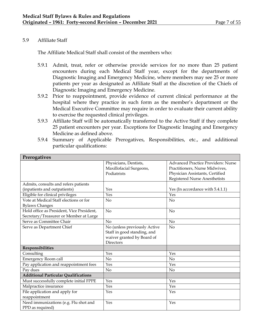# 5.9 Affiliate Staff

The Affiliate Medical Staff shall consist of the members who:

- 5.9.1 Admit, treat, refer or otherwise provide services for no more than 25 patient encounters during each Medical Staff year, except for the departments of Diagnostic Imaging and Emergency Medicine, where members may see 25 or more patients per year as designated as Affiliate Staff at the discretion of the Chiefs of Diagnostic Imaging and Emergency Medicine.
- 5.9.2 Prior to reappointment, provide evidence of current clinical performance at the hospital where they practice in such form as the member's department or the Medical Executive Committee may require in order to evaluate their current ability to exercise the requested clinical privileges.
- 5.9.3 Affiliate Staff will be automatically transferred to the Active Staff if they complete 25 patient encounters per year. Exceptions for Diagnostic Imaging and Emergency Medicine as defined above.
- 5.9.4 Summary of Applicable Prerogatives, Responsibilities, etc., and additional particular qualifications:

| Prerogatives                                |                              |                                           |
|---------------------------------------------|------------------------------|-------------------------------------------|
|                                             | Physicians, Dentists,        | <b>Advanced Practice Providers: Nurse</b> |
|                                             | Maxillofacial Surgeons,      | Practitioners, Nurse Midwives,            |
|                                             | Podiatrists                  | Physician Assistants, Certified           |
|                                             |                              | Registered Nurse Anesthetists             |
| Admits, consults and refers patients        |                              |                                           |
| (inpatients and outpatients)                | Yes                          | Yes (In accordance with 5.4.1.1)          |
| Eligible for clinical privileges            | Yes                          | Yes                                       |
| Vote at Medical Staff elections or for      | N <sub>o</sub>               | No                                        |
| <b>Bylaws Changes</b>                       |                              |                                           |
| Hold office as President, Vice President,   | N <sub>o</sub>               | No                                        |
| Secretary/Treasurer or Member at Large      |                              |                                           |
| Serve as Committee Chair                    | No                           | No                                        |
| Serve as Department Chief                   | No (unless previously Active | No                                        |
|                                             | Staff in good standing, and  |                                           |
|                                             | waiver granted by Board of   |                                           |
|                                             | Directors                    |                                           |
| Responsibilities                            |                              |                                           |
| Consulting                                  | Yes                          | Yes                                       |
| <b>Emergency Room call</b>                  | N <sub>o</sub>               | No                                        |
| Pay application and reappointment fees      | Yes                          | Yes                                       |
| Pay dues                                    | N <sub>o</sub>               | N <sub>o</sub>                            |
| <b>Additional Particular Qualifications</b> |                              |                                           |
| Must successfully complete initial FPPE     | Yes                          | Yes                                       |
| Malpractice insurance                       | Yes                          | Yes                                       |
| File application and apply for              | Yes                          | Yes                                       |
| reappointment                               |                              |                                           |
| Need immunizations (e.g. Flu shot and       | Yes                          | Yes                                       |
| PPD as required)                            |                              |                                           |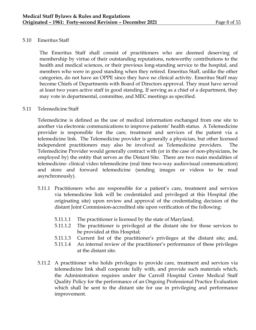# 5.10 Emeritus Staff

The Emeritus Staff shall consist of practitioners who are deemed deserving of membership by virtue of their outstanding reputations, noteworthy contributions to the health and medical sciences, or their previous long-standing service to the hospital, and members who were in good standing when they retired. Emeritus Staff, unlike the other categories, do not have an OPPE since they have no clinical activity. Emeritus Staff may become Chiefs of Departments with Board of Directors approval. They must have served at least two years active staff in good standing. If serving as a chief of a department, they may vote in departmental, committee, and MEC meetings as specified.

## 5.11 Telemedicine Staff

Telemedicine is defined as the use of medical information exchanged from one site to another via electronic communications to improve patients' health status. A Telemedicine provider is responsible for the care, treatment and services of the patient via a telemedicine link. The Telemedicine provider is generally a physician, but other licensed independent practitioners may also be involved as Telemedicine providers. The Telemedicine Provider would generally contract with (or in the case of non-physicians, be employed by) the entity that serves as the Distant Site. There are two main modalities of telemedicine- clinical video telemedicine (real time two-way audiovisual communication) and store and forward telemedicine (sending images or videos to be read asynchronously).

- 5.11.1 Practitioners who are responsible for a patient's care, treatment and services via telemedicine link will be credentialed and privileged at this Hospital (the originating site) upon review and approval of the credentialing decision of the distant Joint Commission-accredited site upon verification of the following:
	- 5.11.1.1 The practitioner is licensed by the state of Maryland;
	- 5.11.1.2 The practitioner is privileged at the distant site for those services to be provided at this Hospital;
	- 5.11.1.3 Current list of the practitioner's privileges at the distant site; and,
	- 5.11.1.4 An internal review of the practitioner's performance of these privileges at the distant site.
- 5.11.2 A practitioner who holds privileges to provide care, treatment and services via telemedicine link shall cooperate fully with, and provide such materials which, the Administration requires under the Carroll Hospital Center Medical Staff Quality Policy for the performance of an Ongoing Professional Practice Evaluation which shall be sent to the distant site for use in privileging and performance improvement.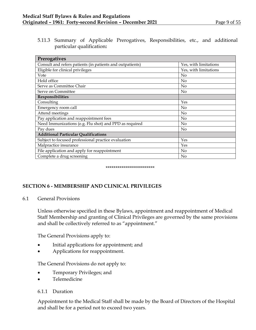5.11.3 Summary of Applicable Prerogatives, Responsibilities, etc., and additional particular qualification**:**

| Prerogatives                                              |                       |  |
|-----------------------------------------------------------|-----------------------|--|
| Consult and refers patients (in patients and outpatients) | Yes, with limitations |  |
| Eligible for clinical privileges                          | Yes, with limitations |  |
| Vote                                                      | $\rm No$              |  |
| Hold office                                               | N <sub>o</sub>        |  |
| Serve as Committee Chair                                  | N <sub>o</sub>        |  |
| Serve on Committee                                        | No                    |  |
| Responsibilities                                          |                       |  |
| Consulting                                                | Yes                   |  |
| Emergency room call                                       | No                    |  |
| Attend meetings                                           | N <sub>o</sub>        |  |
| Pay application and reappointment fees                    | N <sub>o</sub>        |  |
| Need Immunizations (e.g. Flu shot) and PPD as required    | No                    |  |
| Pay dues                                                  | No                    |  |
| <b>Additional Particular Qualifications</b>               |                       |  |
| Subject to focused professional practice evaluation       | Yes                   |  |
| Malpractice insurance                                     | Yes                   |  |
| File application and apply for reappointment              | N <sub>o</sub>        |  |
| Complete a drug screening                                 | N <sub>o</sub>        |  |

\*\*\*\*\*\*\*\*\*\*\*\*\*\*\*\*\*\*\*\*\*\*\*\*\*

# **SECTION 6 - MEMBERSHIP AND CLINICAL PRIVILEGES**

## 6.1 General Provisions

Unless otherwise specified in these Bylaws, appointment and reappointment of Medical Staff Membership and granting of Clinical Privileges are governed by the same provisions and shall be collectively referred to as "appointment."

The General Provisions apply to:

- Initial applications for appointment; and
- Applications for reappointment.

The General Provisions do not apply to:

- Temporary Privileges; and
- Telemedicine

# 6.1.1 Duration

Appointment to the Medical Staff shall be made by the Board of Directors of the Hospital and shall be for a period not to exceed two years.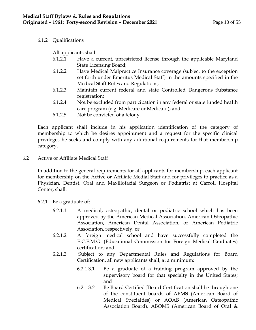# 6.1.2 Qualifications

All applicants shall:

- 6.1.2.1 Have a current, unrestricted license through the applicable Maryland State Licensing Board;
- 6.1.2.2 Have Medical Malpractice Insurance coverage (subject to the exception set forth under Emeritus Medical Staff) in the amounts specified in the Medical Staff Rules and Regulations;
- 6.1.2.3 Maintain current federal and state Controlled Dangerous Substance registration;
- 6.1.2.4 Not be excluded from participation in any federal or state funded health care program (e.g. Medicare or Medicaid); and
- 6.1.2.5 Not be convicted of a felony.

Each applicant shall include in his application identification of the category of membership to which he desires appointment and a request for the specific clinical privileges he seeks and comply with any additional requirements for that membership category.

6.2 Active or Affiliate Medical Staff

In addition to the general requirements for all applicants for membership, each applicant for membership on the Active or Affiliate Medial Staff and for privileges to practice as a Physician, Dentist, Oral and Maxillofacial Surgeon or Podiatrist at Carroll Hospital Center, shall:

- 6.2.1 Be a graduate of:
	- 6.2.1.1 A medical, osteopathic, dental or podiatric school which has been approved by the American Medical Association, American Osteopathic Association, American Dental Association, or American Podiatric Association, respectively; or
	- 6.2.1.2 A foreign medical school and have successfully completed the E.C.F.M.G. (Educational Commission for Foreign Medical Graduates) certification; and
	- 6.2.1.3 Subject to any Departmental Rules and Regulations for Board Certification, all new applicants shall, at a minimum:
		- 6.2.1.3.1 Be a graduate of a training program approved by the supervisory board for that specialty in the United States; and
		- 6.2.1.3.2 Be Board Certified [Board Certification shall be through one of the constituent boards of ABMS (American Board of Medical Specialties) or AOAB (American Osteopathic Association Board), ABOMS (American Board of Oral &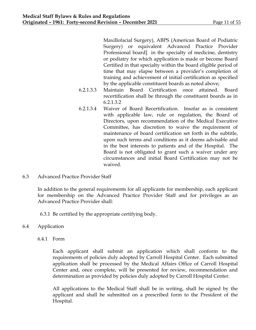Maxillofacial Surgery), ABPS (American Board of Podiatric Surgery) or equivalent Advanced Practice Provider Professional board] in the specialty of medicine, dentistry or podiatry for which application is made or become Board Certified in that specialty within the board eligible period of time that may elapse between a provider's completion of training and achievement of initial certification as specified by the applicable constituent boards as noted above;

- 6.2.1.3.3 Maintain Board Certification once attained. Board recertification shall be through the constituent boards as in 6.2.1.3.2
- 6.2.1.3.4 Waiver of Board Recertification. Insofar as is consistent with applicable law, rule or regulation, the Board of Directors, upon recommendation of the Medical Executive Committee, has discretion to waive the requirement of maintenance of board certification set forth in the subtitle, upon such terms and conditions as it deems advisable and in the best interests to patients and of the Hospital. The Board is not obligated to grant such a waiver under any circumstances and initial Board Certification may not be waived.
- 6.3 Advanced Practice Provider Staff

In addition to the general requirements for all applicants for membership, each applicant for membership on the Advanced Practice Provider Staff and for privileges as an Advanced Practice Provider shall:

6.3.1 Be certified by the appropriate certifying body.

- 6.4 Application
	- 6.4.1 Form

Each applicant shall submit an application which shall conform to the requirements of policies duly adopted by Carroll Hospital Center. Each submitted application shall be processed by the Medical Affairs Office of Carroll Hospital Center and, once complete, will be presented for review, recommendation and determination as provided by policies duly adopted by Carroll Hospital Center.

All applications to the Medical Staff shall be in writing, shall be signed by the applicant and shall be submitted on a prescribed form to the President of the Hospital.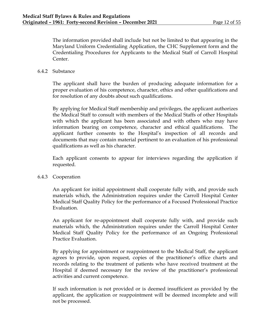The information provided shall include but not be limited to that appearing in the Maryland Uniform Credentialing Application, the CHC Supplement form and the Credentialing Procedures for Applicants to the Medical Staff of Carroll Hospital Center.

# 6.4.2 Substance

The applicant shall have the burden of producing adequate information for a proper evaluation of his competence, character, ethics and other qualifications and for resolution of any doubts about such qualifications.

By applying for Medical Staff membership and privileges, the applicant authorizes the Medical Staff to consult with members of the Medical Staffs of other Hospitals with which the applicant has been associated and with others who may have information bearing on competence, character and ethical qualifications. The applicant further consents to the Hospital's inspection of all records and documents that may contain material pertinent to an evaluation of his professional qualifications as well as his character.

Each applicant consents to appear for interviews regarding the application if requested.

# 6.4.3 Cooperation

An applicant for initial appointment shall cooperate fully with, and provide such materials which, the Administration requires under the Carroll Hospital Center Medical Staff Quality Policy for the performance of a Focused Professional Practice Evaluation.

An applicant for re-appointment shall cooperate fully with, and provide such materials which, the Administration requires under the Carroll Hospital Center Medical Staff Quality Policy for the performance of an Ongoing Professional Practice Evaluation.

By applying for appointment or reappointment to the Medical Staff, the applicant agrees to provide, upon request, copies of the practitioner's office charts and records relating to the treatment of patients who have received treatment at the Hospital if deemed necessary for the review of the practitioner's professional activities and current competence.

If such information is not provided or is deemed insufficient as provided by the applicant, the application or reappointment will be deemed incomplete and will not be processed.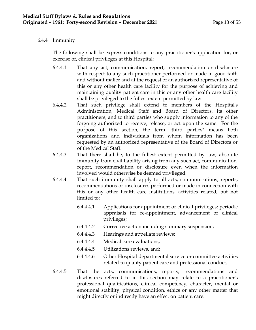# 6.4.4 Immunity

The following shall be express conditions to any practitioner's application for, or exercise of, clinical privileges at this Hospital:

- 6.4.4.1 That any act, communication, report, recommendation or disclosure with respect to any such practitioner performed or made in good faith and without malice and at the request of an authorized representative of this or any other health care facility for the purpose of achieving and maintaining quality patient care in this or any other health care facility shall be privileged to the fullest extent permitted by law.
- 6.4.4.2 That such privilege shall extend to members of the Hospital's Administration, Medical Staff and Board of Directors, its other practitioners, and to third parties who supply information to any of the forgoing authorized to receive, release, or act upon the same. For the purpose of this section, the term "third parties" means both organizations and individuals from whom information has been requested by an authorized representative of the Board of Directors or of the Medical Staff.
- 6.4.4.3 That there shall be, to the fullest extent permitted by law, absolute immunity from civil liability arising from any such act, communication, report, recommendation or disclosure even when the information involved would otherwise be deemed privileged.
- 6.4.4.4 That such immunity shall apply to all acts, communications, reports, recommendations or disclosures performed or made in connection with this or any other health care institutions' activities related, but not limited to:
	- 6.4.4.4.1 Applications for appointment or clinical privileges; periodic appraisals for re-appointment, advancement or clinical privileges;
	- 6.4.4.4.2 Corrective action including summary suspension;
	- 6.4.4.4.3 Hearings and appellate reviews;
	- 6.4.4.4.4 Medical care evaluations;
	- 6.4.4.4.5 Utilizations reviews, and;
	- 6.4.4.4.6 Other Hospital departmental service or committee activities related to quality patient care and professional conduct.
- 6.4.4.5 That the acts, communications, reports, recommendations and disclosures referred to in this section may relate to a practitioner's professional qualifications, clinical competency, character, mental or emotional stability, physical condition, ethics or any other matter that might directly or indirectly have an effect on patient care.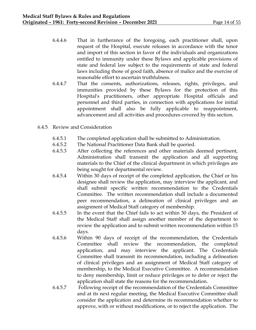- 6.4.4.6 That in furtherance of the foregoing, each practitioner shall, upon request of the Hospital, execute releases in accordance with the tenor and import of this section in favor of the individuals and organizations entitled to immunity under these Bylaws and applicable provisions of state and federal law subject to the requirements of state and federal laws including those of good faith, absence of malice and the exercise of reasonable effort to ascertain truthfulness.
- 6.4.4.7 That the consents, authorizations, releases, rights, privileges, and immunities provided by these Bylaws for the protection of this Hospital's practitioners, other appropriate Hospital officials and personnel and third parties, in connection with applications for initial appointment shall also be fully applicable to reappointment, advancement and all activities and procedures covered by this section.
- 6.4.5 Review and Consideration
	- 6.4.5.1 The completed application shall be submitted to Administration.
	- 6.4.5.2 The National Practitioner Data Bank shall be queried.
	- 6.4.5.3 After collecting the references and other materials deemed pertinent, Administration shall transmit the application and all supporting materials to the Chief of the clinical department in which privileges are being sought for departmental review.
	- 6.4.5.4 Within 30 days of receipt of the completed application, the Chief or his designee shall review the application, may interview the applicant, and shall submit specific written recommendation to the Credentials Committee. The written recommendation shall include a documented peer recommendation, a delineation of clinical privileges and an assignment of Medical Staff category of membership.
	- 6.4.5.5 In the event that the Chief fails to act within 30 days, the President of the Medical Staff shall assign another member of the department to review the application and to submit written recommendation within 15 days.
	- 6.4.5.6 Within 90 days of receipt of the recommendation, the Credentials Committee shall review the recommendation, the completed application, and may interview the applicant. The Credentials Committee shall transmit its recommendation, including a delineation of clinical privileges and an assignment of Medical Staff category of membership, to the Medical Executive Committee. A recommendation to deny membership, limit or reduce privileges or to defer or reject the application shall state the reasons for the recommendation.
	- 6.4.5.7 Following receipt of the recommendation of the Credentials Committee and at its next regular meeting, the Medical Executive Committee shall consider the application and determine its recommendation whether to approve, with or without modifications, or to reject the application. The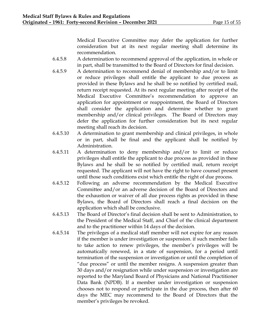Medical Executive Committee may defer the application for further consideration but at its next regular meeting shall determine its recommendation.

- 6.4.5.8 A determination to recommend approval of the application, in whole or in part, shall be transmitted to the Board of Directors for final decision.
- 6.4.5.9 A determination to recommend denial of membership and/or to limit or reduce privileges shall entitle the applicant to due process as provided in these Bylaws and he shall be so notified by certified mail, return receipt requested. At its next regular meeting after receipt of the Medical Executive Committee's recommendation to approve an application for appointment or reappointment, the Board of Directors shall consider the application and determine whether to grant membership and/or clinical privileges. The Board of Directors may defer the application for further consideration but its next regular meeting shall reach its decision.
- 6.4.5.10 A determination to grant membership and clinical privileges, in whole or in part, shall be final and the applicant shall be notified by Administration.
- 6.4.5.11 A determination to deny membership and/or to limit or reduce privileges shall entitle the applicant to due process as provided in these Bylaws and he shall be so notified by certified mail, return receipt requested. The applicant will not have the right to have counsel present until those such conditions exist which entitle the right of due process.
- 6.4.5.12 Following an adverse recommendation by the Medical Executive Committee and/or an adverse decision of the Board of Directors and the exhaustion or waiver of all due process rights as provided in these Bylaws, the Board of Directors shall reach a final decision on the application which shall be conclusive.
- 6.4.5.13 The Board of Director's final decision shall be sent to Administration, to the President of the Medical Staff, and Chief of the clinical department and to the practitioner within 14 days of the decision.
- 6.4.5.14 The privileges of a medical staff member will not expire for any reason if the member is under investigation or suspension. if such member fails to take action to renew privileges, the member's privileges will be automatically renewed, in a state of suspension, for a period until termination of the suspension or investigation or until the completion of "due process" or until the member resigns. A suspension greater than 30 days and/or resignation while under suspension or investigation are reported to the Maryland Board of Physicians and National Practitioner Data Bank (NPDB). If a member under investigation or suspension chooses not to respond or participate in the due process, then after 60 days the MEC may recommend to the Board of Directors that the member's privileges be revoked.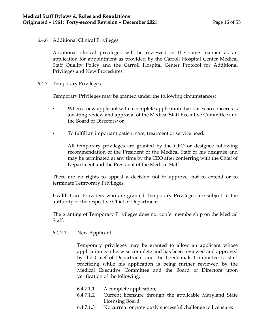# 6.4.6 Additional Clinical Privileges

Additional clinical privileges will be reviewed in the same manner as an application for appointment as provided by the Carroll Hospital Center Medical Staff Quality Policy and the Carroll Hospital Center Protocol for Additional Privileges and New Procedures.

6.4.7 Temporary Privileges

Temporary Privileges may be granted under the following circumstances:

- When a new applicant with a complete application that raises no concerns is awaiting review and approval of the Medical Staff Executive Committee and the Board of Directors; or
	- To fulfill an important patient care, treatment or service need.

All temporary privileges are granted by the CEO or designee following recommendation of the President of the Medical Staff or his designee and may be terminated at any time by the CEO after conferring with the Chief of Department and the President of the Medical Staff.

There are no rights to appeal a decision not to approve, not to extend or to terminate Temporary Privileges.

Health Care Providers who are granted Temporary Privileges are subject to the authority of the respective Chief of Department.

The granting of Temporary Privileges does not confer membership on the Medical Staff.

6.4.7.1 New Applicant

Temporary privileges may be granted to allow an applicant whose application is otherwise complete and has been reviewed and approved by the Chief of Department and the Credentials Committee to start practicing while his application is being further reviewed by the Medical Executive Committee and the Board of Directors upon verification of the following:

- 6.4.7.1.1 A complete application;
- 6.4.7.1.2 Current licensure through the applicable Maryland State Licensing Board;
- 6.4.7.1.3 No current or previously successful challenge to licensure;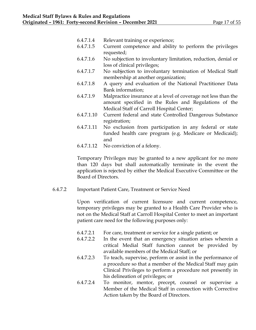- 6.4.7.1.4 Relevant training or experience;
- 6.4.7.1.5 Current competence and ability to perform the privileges requested;
- 6.4.7.1.6 No subjection to involuntary limitation, reduction, denial or loss of clinical privileges;
- 6.4.7.1.7 No subjection to involuntary termination of Medical Staff membership at another organization;
- 6.4.7.1.8 A query and evaluation of the National Practitioner Data Bank information;
- 6.4.7.1.9 Malpractice insurance at a level of coverage not less than the amount specified in the Rules and Regulations of the Medical Staff of Carroll Hospital Center;
- 6.4.7.1.10 Current federal and state Controlled Dangerous Substance registration;
- 6.4.7.1.11 No exclusion from participation in any federal or state funded health care program (e.g. Medicare or Medicaid); and
- 6.4.7.1.12 No conviction of a felony.

Temporary Privileges may be granted to a new applicant for no more than 120 days but shall automatically terminate in the event the application is rejected by either the Medical Executive Committee or the Board of Directors.

6.4.7.2 Important Patient Care, Treatment or Service Need

Upon verification of current licensure and current competence, temporary privileges may be granted to a Health Care Provider who is not on the Medical Staff at Carroll Hospital Center to meet an important patient care need for the following purposes only:

- 6.4.7.2.1 For care, treatment or service for a single patient; or
- 6.4.7.2.2 In the event that an emergency situation arises wherein a critical Medial Staff function cannot be provided by available members of the Medical Staff; or
- 6.4.7.2.3 To teach, supervise, perform or assist in the performance of a procedure so that a member of the Medical Staff may gain Clinical Privileges to perform a procedure not presently in his delineation of privileges; or
- 6.4.7.2.4 To monitor, mentor, precept, counsel or supervise a Member of the Medical Staff in connection with Corrective Action taken by the Board of Directors.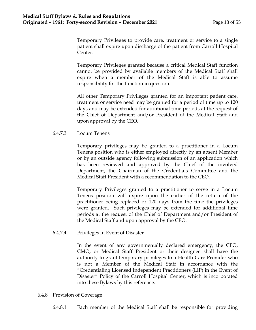Temporary Privileges to provide care, treatment or service to a single patient shall expire upon discharge of the patient from Carroll Hospital Center.

Temporary Privileges granted because a critical Medical Staff function cannot be provided by available members of the Medical Staff shall expire when a member of the Medical Staff is able to assume responsibility for the function in question.

All other Temporary Privileges granted for an important patient care, treatment or service need may be granted for a period of time up to 120 days and may be extended for additional time periods at the request of the Chief of Department and/or President of the Medical Staff and upon approval by the CEO.

# 6.4.7.3 Locum Tenens

Temporary privileges may be granted to a practitioner in a Locum Tenens position who is either employed directly by an absent Member or by an outside agency following submission of an application which has been reviewed and approved by the Chief of the involved Department, the Chairman of the Credentials Committee and the Medical Staff President with a recommendation to the CEO.

Temporary Privileges granted to a practitioner to serve in a Locum Tenens position will expire upon the earlier of the return of the practitioner being replaced or 120 days from the time the privileges were granted. Such privileges may be extended for additional time periods at the request of the Chief of Department and/or President of the Medical Staff and upon approval by the CEO.

6.4.7.4 Privileges in Event of Disaster

In the event of any governmentally declared emergency, the CEO, CMO, or Medical Staff President or their designee shall have the authority to grant temporary privileges to a Health Care Provider who is not a Member of the Medical Staff in accordance with the "Credentialing Licensed Independent Practitioners (LIP) in the Event of Disaster" Policy of the Carroll Hospital Center, which is incorporated into these Bylaws by this reference.

## 6.4.8 Provision of Coverage

6.4.8.1 Each member of the Medical Staff shall be responsible for providing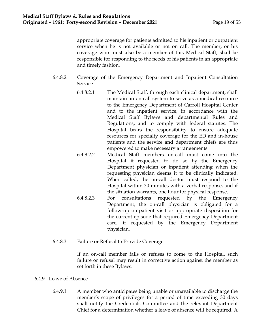appropriate coverage for patients admitted to his inpatient or outpatient service when he is not available or not on call. The member, or his coverage who must also be a member of this Medical Staff, shall be responsible for responding to the needs of his patients in an appropriate and timely fashion.

- 6.4.8.2 Coverage of the Emergency Department and Inpatient Consultation Service
	- 6.4.8.2.1 The Medical Staff, through each clinical department, shall maintain an on-call system to serve as a medical resource to the Emergency Department of Carroll Hospital Center and to the inpatient service, in accordance with the Medical Staff Bylaws and departmental Rules and Regulations, and to comply with federal statutes. The Hospital bears the responsibility to ensure adequate resources for specialty coverage for the ED and in-house patients and the service and department chiefs are thus empowered to make necessary arrangements.
		- 6.4.8.2.2 Medical Staff members on-call must come into the Hospital if requested to do so by the Emergency Department physician or inpatient attending when the requesting physician deems it to be clinically indicated. When called, the on-call doctor must respond to the Hospital within 30 minutes with a verbal response, and if the situation warrants, one hour for physical response.
		- 6.4.8.2.3 For consultations requested by the Emergency Department, the on-call physician is obligated for a follow-up outpatient visit or appropriate disposition for the current episode that required Emergency Department care, if requested by the Emergency Department physician.
- 6.4.8.3 Failure or Refusal to Provide Coverage

If an on-call member fails or refuses to come to the Hospital, such failure or refusal may result in corrective action against the member as set forth in these Bylaws.

## 6.4.9 Leave of Absence

6.4.9.1 A member who anticipates being unable or unavailable to discharge the member's scope of privileges for a period of time exceeding 30 days shall notify the Credentials Committee and the relevant Department Chief for a determination whether a leave of absence will be required. A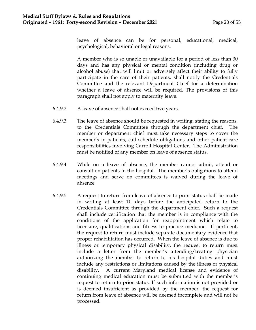leave of absence can be for personal, educational, medical, psychological, behavioral or legal reasons.

A member who is so unable or unavailable for a period of less than 30 days and has any physical or mental condition (including drug or alcohol abuse) that will limit or adversely affect their ability to fully participate in the care of their patients, shall notify the Credentials Committee and the relevant Department Chief for a determination whether a leave of absence will be required. The provisions of this paragraph shall not apply to maternity leave.

- 6.4.9.2 A leave of absence shall not exceed two years.
- 6.4.9.3 The leave of absence should be requested in writing, stating the reasons, to the Credentials Committee through the department chief. The member or department chief must take necessary steps to cover the member's in-patients, call schedule obligations and other patient-care responsibilities involving Carroll Hospital Center. The Administration must be notified of any member on leave of absence status.
- 6.4.9.4 While on a leave of absence, the member cannot admit, attend or consult on patients in the hospital. The member's obligations to attend meetings and serve on committees is waived during the leave of absence.
- 6.4.9.5 A request to return from leave of absence to prior status shall be made in writing at least 10 days before the anticipated return to the Credentials Committee through the department chief. Such a request shall include certification that the member is in compliance with the conditions of the application for reappointment which relate to licensure, qualifications and fitness to practice medicine. If pertinent, the request to return must include separate documentary evidence that proper rehabilitation has occurred. When the leave of absence is due to illness or temporary physical disability, the request to return must include a letter from the member's attending/treating physician authorizing the member to return to his hospital duties and must include any restrictions or limitations caused by the illness or physical disability. A current Maryland medical license and evidence of continuing medical education must be submitted with the member's request to return to prior status. If such information is not provided or is deemed insufficient as provided by the member, the request for return from leave of absence will be deemed incomplete and will not be processed.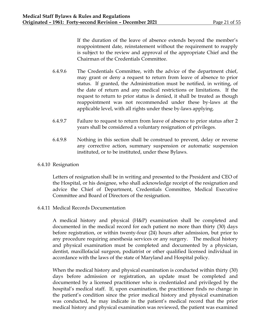If the duration of the leave of absence extends beyond the member's reappointment date, reinstatement without the requirement to reapply is subject to the review and approval of the appropriate Chief and the Chairman of the Credentials Committee.

- 6.4.9.6 The Credentials Committee, with the advice of the department chief, may grant or deny a request to return from leave of absence to prior status. If granted, the Administration must be notified, in writing, of the date of return and any medical restrictions or limitations. If the request to return to prior status is denied, it shall be treated as though reappointment was not recommended under these by-laws at the applicable level, with all rights under these by-laws applying.
- 6.4.9.7 Failure to request to return from leave of absence to prior status after 2 years shall be considered a voluntary resignation of privileges.
- 6.4.9.8 Nothing in this section shall be construed to prevent, delay or reverse any corrective action, summary suspension or automatic suspension instituted, or to be instituted, under these Bylaws.
- 6.4.10 Resignation

Letters of resignation shall be in writing and presented to the President and CEO of the Hospital, or his designee, who shall acknowledge receipt of the resignation and advice the Chief of Department, Credentials Committee, Medical Executive Committee and Board of Directors of the resignation.

6.4.11 Medical Records Documentation

A medical history and physical (H&P) examination shall be completed and documented in the medical record for each patient no more than thirty (30) days before registration, or within twenty-four (24) hours after admission, but prior to any procedure requiring anesthesia services or any surgery. The medical history and physical examination must be completed and documented by a physician, dentist, maxillofacial surgeon, podiatrist or other qualified licensed individual in accordance with the laws of the state of Maryland and Hospital policy.

When the medical history and physical examination is conducted within thirty (30) days before admission or registration, an update must be completed and documented by a licensed practitioner who is credentialed and privileged by the hospital's medical staff. If, upon examination, the practitioner finds no change in the patient's condition since the prior medical history and physical examination was conducted, he may indicate in the patient's medical record that the prior medical history and physical examination was reviewed, the patient was examined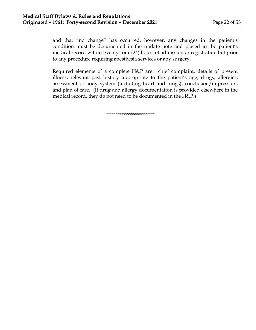and that "no change" has occurred, however, any changes in the patient's condition must be documented in the update note and placed in the patient's medical record within twenty-four (24) hours of admission or registration but prior to any procedure requiring anesthesia services or any surgery.

Required elements of a complete H&P are: chief complaint, details of present illness, relevant past history appropriate to the patient's age, drugs, allergies, assessment of body system (including heart and lungs), conclusion/impression, and plan of care. (If drug and allergy documentation is provided elsewhere in the medical record, they do not need to be documented in the H&P.)

\*\*\*\*\*\*\*\*\*\*\*\*\*\*\*\*\*\*\*\*\*\*\*\*\*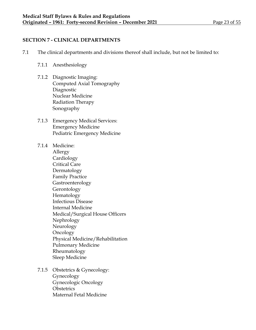# **SECTION 7 - CLINICAL DEPARTMENTS**

- 7.1 The clinical departments and divisions thereof shall include, but not be limited to:
	- 7.1.1 Anesthesiology
	- 7.1.2 Diagnostic Imaging: Computed Axial Tomography Diagnostic Nuclear Medicine Radiation Therapy Sonography
	- 7.1.3 Emergency Medical Services: Emergency Medicine Pediatric Emergency Medicine
	- 7.1.4 Medicine: Allergy **Cardiology** Critical Care Dermatology Family Practice Gastroenterology Gerontology Hematology Infectious Disease Internal Medicine Medical/Surgical House Officers Nephrology Neurology **Oncology** Physical Medicine/Rehabilitation Pulmonary Medicine Rheumatology Sleep Medicine
	- 7.1.5 Obstetrics & Gynecology: Gynecology Gynecologic Oncology **Obstetrics** Maternal Fetal Medicine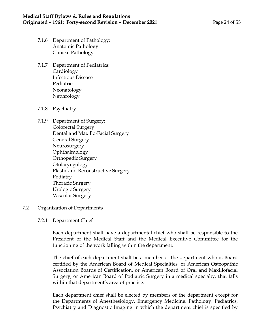- 7.1.6 Department of Pathology: Anatomic Pathology Clinical Pathology
- 7.1.7 Department of Pediatrics: Cardiology Infectious Disease **Pediatrics** Neonatology Nephrology
- 7.1.8 Psychiatry
- 7.1.9 Department of Surgery: Colorectal Surgery Dental and Maxillo-Facial Surgery General Surgery Neurosurgery Ophthalmology Orthopedic Surgery Otolaryngology Plastic and Reconstructive Surgery Podiatry Thoracic Surgery Urologic Surgery Vascular Surgery
- 7.2 Organization of Departments
	- 7.2.1 Department Chief

Each department shall have a departmental chief who shall be responsible to the President of the Medical Staff and the Medical Executive Committee for the functioning of the work falling within the department.

The chief of each department shall be a member of the department who is Board certified by the American Board of Medical Specialties, or American Osteopathic Association Boards of Certification, or American Board of Oral and Maxillofacial Surgery, or American Board of Podiatric Surgery in a medical specialty, that falls within that department's area of practice.

Each department chief shall be elected by members of the department except for the Departments of Anesthesiology, Emergency Medicine, Pathology, Pediatrics, Psychiatry and Diagnostic Imaging in which the department chief is specified by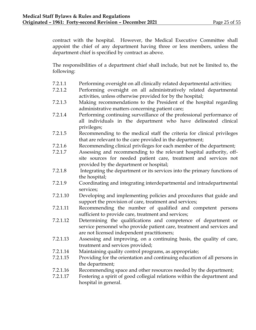contract with the hospital. However, the Medical Executive Committee shall appoint the chief of any department having three or less members, unless the department chief is specified by contract as above.

The responsibilities of a department chief shall include, but not be limited to, the following:

- 7.2.1.1 Performing oversight on all clinically related departmental activities;
- 7.2.1.2 Performing oversight on all administratively related departmental activities, unless otherwise provided for by the hospital;
- 7.2.1.3 Making recommendations to the President of the hospital regarding administrative matters concerning patient care;
- 7.2.1.4 Performing continuing surveillance of the professional performance of all individuals in the department who have delineated clinical privileges;
- 7.2.1.5 Recommending to the medical staff the criteria for clinical privileges that are relevant to the care provided in the department;
- 7.2.1.6 Recommending clinical privileges for each member of the department;
- 7.2.1.7 Assessing and recommending to the relevant hospital authority, offsite sources for needed patient care, treatment and services not provided by the department or hospital;
- 7.2.1.8 Integrating the department or its services into the primary functions of the hospital;
- 7.2.1.9 Coordinating and integrating interdepartmental and intradepartmental services;
- 7.2.1.10 Developing and implementing policies and procedures that guide and support the provision of care, treatment and services;
- 7.2.1.11 Recommending the number of qualified and competent persons sufficient to provide care, treatment and services;
- 7.2.1.12 Determining the qualifications and competence of department or service personnel who provide patient care, treatment and services and are not licensed independent practitioners;
- 7.2.1.13 Assessing and improving, on a continuing basis, the quality of care, treatment and services provided;
- 7.2.1.14 Maintaining quality control programs, as appropriate;
- 7.2.1.15 Providing for the orientation and continuing education of all persons in the department;
- 7.2.1.16 Recommending space and other resources needed by the department;
- 7.2.1.17 Fostering a spirit of good collegial relations within the department and hospital in general.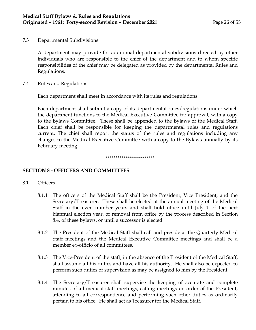7.3 Departmental Subdivisions

A department may provide for additional departmental subdivisions directed by other individuals who are responsible to the chief of the department and to whom specific responsibilities of the chief may be delegated as provided by the departmental Rules and Regulations.

7.4 Rules and Regulations

Each department shall meet in accordance with its rules and regulations.

Each department shall submit a copy of its departmental rules/regulations under which the department functions to the Medical Executive Committee for approval, with a copy to the Bylaws Committee. These shall be appended to the Bylaws of the Medical Staff. Each chief shall be responsible for keeping the departmental rules and regulations current. The chief shall report the status of the rules and regulations including any changes to the Medical Executive Committee with a copy to the Bylaws annually by its February meeting.

#### \*\*\*\*\*\*\*\*\*\*\*\*\*\*\*\*\*\*\*\*\*\*\*\*\*

# **SECTION 8 - OFFICERS AND COMMITTEES**

- 8.1 Officers
	- 8.1.1 The officers of the Medical Staff shall be the President, Vice President, and the Secretary/Treasurer. These shall be elected at the annual meeting of the Medical Staff in the even number years and shall hold office until July 1 of the next biannual election year, or removal from office by the process described in Section 8.4, of these bylaws, or until a successor is elected.
	- 8.1.2 The President of the Medical Staff shall call and preside at the Quarterly Medical Staff meetings and the Medical Executive Committee meetings and shall be a member ex-officio of all committees.
	- 8.1.3 The Vice-President of the staff, in the absence of the President of the Medical Staff, shall assume all his duties and have all his authority. He shall also be expected to perform such duties of supervision as may be assigned to him by the President.
	- 8.1.4 The Secretary/Treasurer shall supervise the keeping of accurate and complete minutes of all medical staff meetings, calling meetings on order of the President, attending to all correspondence and performing such other duties as ordinarily pertain to his office. He shall act as Treasurer for the Medical Staff.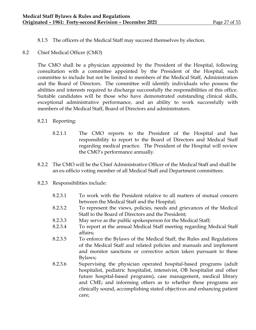- 8.1.5 The officers of the Medical Staff may succeed themselves by election.
- 8.2 Chief Medical Officer (CMO)

The CMO shall be a physician appointed by the President of the Hospital, following consultation with a committee appointed by the President of the Hospital, such committee to include but not be limited to members of the Medical Staff, Administration and the Board of Directors. The committee will identify individuals who possess the abilities and interests required to discharge successfully the responsibilities of this office. Suitable candidates will be those who have demonstrated outstanding clinical skills, exceptional administrative performance, and an ability to work successfully with members of the Medical Staff, Board of Directors and administrators.

# 8.2.1 Reporting:

- 8.2.1.1 The CMO reports to the President of the Hospital and has responsibility to report to the Board of Directors and Medical Staff regarding medical practice. The President of the Hospital will review the CMO's performance annually.
- 8.2.2 The CMO will be the Chief Administrative Officer of the Medical Staff and shall be an ex-officio voting member of all Medical Staff and Department committees.
- 8.2.3 Responsibilities include:
	- 8.2.3.1 To work with the President relative to all matters of mutual concern between the Medical Staff and the Hospital;
	- 8.2.3.2 To represent the views, policies, needs and grievances of the Medical Staff to the Board of Directors and the President;
	- 8.2.3.3 May serve as the public spokesperson for the Medical Staff;
	- 8.2.3.4 To report at the annual Medical Staff meeting regarding Medical Staff affairs;
	- 8.2.3.5 To enforce the Bylaws of the Medical Staff, the Rules and Regulations of the Medical Staff and related policies and manuals and implement and monitor sanctions or corrective action taken pursuant to these Bylaws;
	- 8.2.3.6 Supervising the physician operated hospital-based programs (adult hospitalist, pediatric hospitalist, intensivist, OB hospitalist and other future hospital-based programs), case management, medical library and CME; and informing others as to whether these programs are clinically sound, accomplishing stated objectives and enhancing patient care;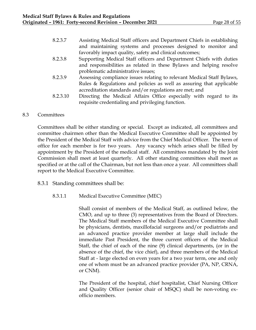| 8.2.3.7  | Assisting Medical Staff officers and Department Chiefs in establishing |
|----------|------------------------------------------------------------------------|
|          | and maintaining systems and processes designed to monitor and          |
|          | favorably impact quality, safety and clinical outcomes;                |
| 8.2.3.8  | Supporting Medical Staff officers and Department Chiefs with duties    |
|          | and responsibilities as related in these Bylaws and helping resolve    |
|          | problematic administrative issues;                                     |
| 8.2.3.9  | Assessing compliance issues relating to relevant Medical Staff Bylaws, |
|          | Rules & Regulations and policies as well as assuring that applicable   |
|          | accreditation standards and/or regulations are met; and                |
| 8.2.3.10 | Directing the Medical Affairs Office especially with regard to its     |

#### 8.3 Committees

Committees shall be either standing or special. Except as indicated, all committees and committee chairmen other than the Medical Executive Committee shall be appointed by the President of the Medical Staff with advice from the Chief Medical Officer. The term of office for each member is for two years. Any vacancy which arises shall be filled by appointment by the President of the medical staff. All committees mandated by the Joint Commission shall meet at least quarterly. All other standing committees shall meet as specified or at the call of the Chairman, but not less than once a year. All committees shall report to the Medical Executive Committee.

requisite credentialing and privileging function.

8.3.1 Standing committees shall be:

## 8.3.1.1 Medical Executive Committee (MEC)

Shall consist of members of the Medical Staff, as outlined below, the CMO, and up to three (3) representatives from the Board of Directors. The Medical Staff members of the Medical Executive Committee shall be physicians, dentists, maxillofacial surgeons and/or podiatrists and an advanced practice provider member at large shall include the immediate Past President, the three current officers of the Medical Staff, the chief of each of the nine (9) clinical departments, (or in the absence of the chief, the vice chief), and three members of the Medical Staff at - large elected on even years for a two year term, one and only one of whom must be an advanced practice provider (PA, NP, CRNA, or CNM).

The President of the hospital, chief hospitalist, Chief Nursing Officer and Quality Officer (senior chair of MSQC) shall be non-voting exofficio members.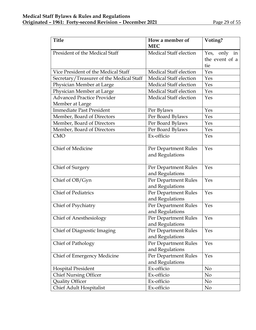| <b>Title</b>                             | How a member of               | Voting?         |
|------------------------------------------|-------------------------------|-----------------|
|                                          | <b>MEC</b>                    |                 |
| President of the Medical Staff           | Medical Staff election        | Yes, only<br>in |
|                                          |                               | the event of a  |
|                                          |                               | tie             |
| Vice President of the Medical Staff      | Medical Staff election        | Yes             |
| Secretary/Treasurer of the Medical Staff | Medical Staff election        | Yes             |
| Physician Member at Large                | Medical Staff election        | Yes             |
| Physician Member at Large                | Medical Staff election        | Yes             |
| <b>Advanced Practice Provider</b>        | <b>Medical Staff election</b> | Yes             |
| Member at Large                          |                               |                 |
| <b>Immediate Past President</b>          | Per Bylaws                    | Yes             |
| Member, Board of Directors               | Per Board Bylaws              | Yes             |
| Member, Board of Directors               | Per Board Bylaws              | Yes             |
| Member, Board of Directors               | Per Board Bylaws              | Yes             |
| <b>CMO</b>                               | Ex-officio                    | Yes             |
|                                          |                               |                 |
| Chief of Medicine                        | Per Department Rules          | Yes             |
|                                          | and Regulations               |                 |
| Chief of Surgery                         | Per Department Rules          | Yes             |
|                                          | and Regulations               |                 |
| Chief of OB/Gyn                          | Per Department Rules          | Yes             |
|                                          | and Regulations               |                 |
| <b>Chief of Pediatrics</b>               | Per Department Rules          | Yes             |
|                                          | and Regulations               |                 |
| Chief of Psychiatry                      | Per Department Rules          | Yes             |
|                                          | and Regulations               |                 |
| <b>Chief of Anesthesiology</b>           | Per Department Rules          | Yes             |
|                                          | and Regulations               |                 |
| Chief of Diagnostic Imaging              | Per Department Rules          | Yes             |
|                                          | and Regulations               |                 |
| Chief of Pathology                       | Per Department Rules          | Yes             |
|                                          | and Regulations               |                 |
| Chief of Emergency Medicine              | Per Department Rules          | Yes             |
|                                          | and Regulations               |                 |
| <b>Hospital President</b>                | Ex-officio                    | No              |
| <b>Chief Nursing Officer</b>             | Ex-officio                    | No              |
| <b>Quality Officer</b>                   | Ex-officio                    | N <sub>o</sub>  |
| <b>Chief Adult Hospitalist</b>           | Ex-officio                    | No              |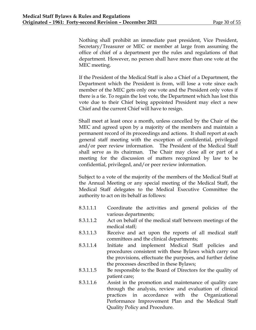Nothing shall prohibit an immediate past president, Vice President, Secretary/Treasurer or MEC or member at large from assuming the office of chief of a department per the rules and regulations of that department. However, no person shall have more than one vote at the MEC meeting.

If the President of the Medical Staff is also a Chief of a Department, the Department which the President is from, will lose a vote since each member of the MEC gets only one vote and the President only votes if there is a tie. To regain the lost vote, the Department which has lost this vote due to their Chief being appointed President may elect a new Chief and the current Chief will have to resign.

Shall meet at least once a month, unless cancelled by the Chair of the MEC and agreed upon by a majority of the members and maintain a permanent record of its proceedings and actions. It shall report at each general staff meeting with the exception of confidential, privileged and/or peer review information. The President of the Medical Staff shall serve as its chairman. The Chair may close all or part of a meeting for the discussion of matters recognized by law to be confidential, privileged, and/or peer review information.

Subject to a vote of the majority of the members of the Medical Staff at the Annual Meeting or any special meeting of the Medical Staff, the Medical Staff delegates to the Medical Executive Committee the authority to act on its behalf as follows:

- 8.3.1.1.1 Coordinate the activities and general policies of the various departments;
- 8.3.1.1.2 Act on behalf of the medical staff between meetings of the medical staff;
- 8.3.1.1.3 Receive and act upon the reports of all medical staff committees and the clinical departments;
- 8.3.1.1.4 Initiate and implement Medical Staff policies and procedures consistent with these Bylaws which carry out the provisions, effectuate the purposes, and further define the processes described in these Bylaws;
- 8.3.1.1.5 Be responsible to the Board of Directors for the quality of patient care;
- 8.3.1.1.6 Assist in the promotion and maintenance of quality care through the analysis, review and evaluation of clinical practices in accordance with the Organizational Performance Improvement Plan and the Medical Staff Quality Policy and Procedure.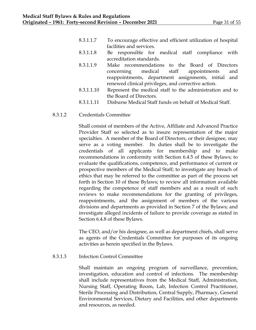- 8.3.1.1.7 To encourage effective and efficient utilization of hospital facilities and services.
- 8.3.1.1.8 Be responsible for medical staff compliance with accreditation standards.
- 8.3.1.1.9 Make recommendations to the Board of Directors concerning medical staff appointments and reappointments, department assignments, initial and renewed clinical privileges, and corrective action.
- 8.3.1.1.10 Represent the medical staff to the administration and to the Board of Directors.
- 8.3.1.1.11 Disburse Medical Staff funds on behalf of Medical Staff.

## 8.3.1.2 Credentials Committee

Shall consist of members of the Active, Affiliate and Advanced Practice Provider Staff so selected as to insure representation of the major specialties. A member of the Board of Directors, or their designee, may serve as a voting member. Its duties shall be to investigate the credentials of all applicants for membership and to make recommendations in conformity with Section 6.4.5 of these Bylaws; to evaluate the qualifications, competence, and performance of current or prospective members of the Medical Staff; to investigate any breach of ethics that may be referred to the committee as part of the process set forth in Section 10 of these Bylaws; to review all information available regarding the competence of staff members and as a result of such reviews to make recommendations for the granting of privileges, reappointments, and the assignment of members of the various divisions and departments as provided in Section 7 of the Bylaws; and investigate alleged incidents of failure to provide coverage as stated in Section 6.4.8 of these Bylaws.

The CEO, and/or his designee, as well as department chiefs, shall serve as agents of the Credentials Committee for purposes of its ongoing activities as herein specified in the Bylaws.

# 8.3.1.3 Infection Control Committee

Shall maintain an ongoing program of surveillance, prevention, investigation, education and control of infections. The membership shall include representatives from the Medical Staff, Administration, Nursing Staff, Operating Room, Lab, Infection Control Practitioner, Sterile Processing and Distribution, Central Supply, Pharmacy, General Environmental Services, Dietary and Facilities, and other departments and resources, as needed.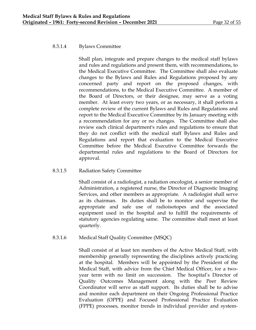# 8.3.1.4 Bylaws Committee

Shall plan, integrate and prepare changes to the medical staff bylaws and rules and regulations and present them, with recommendations, to the Medical Executive Committee. The Committee shall also evaluate changes to the Bylaws and Rules and Regulations proposed by any concerned party and report on the proposed changes, with recommendations, to the Medical Executive Committee. A member of the Board of Directors, or their designee, may serve as a voting member. At least every two years, or as necessary, it shall perform a complete review of the current Bylaws and Rules and Regulations and report to the Medical Executive Committee by its January meeting with a recommendation for any or no changes. The Committee shall also review each clinical department's rules and regulations to ensure that they do not conflict with the medical staff Bylaws and Rules and Regulations and report that evaluation to the Medical Executive Committee before the Medical Executive Committee forwards the departmental rules and regulations to the Board of Directors for approval.

# 8.3.1.5 Radiation Safety Committee

Shall consist of a radiologist, a radiation oncologist, a senior member of Administration, a registered nurse, the Director of Diagnostic Imaging Services, and other members as appropriate. A radiologist shall serve as its chairman. Its duties shall be to monitor and supervise the appropriate and safe use of radioisotopes and the associated equipment used in the hospital and to fulfill the requirements of statutory agencies regulating same. The committee shall meet at least quarterly.

# 8.3.1.6 Medical Staff Quality Committee (MSQC)

Shall consist of at least ten members of the Active Medical Staff, with membership generally representing the disciplines actively practicing at the hospital. Members will be appointed by the President of the Medical Staff, with advice from the Chief Medical Officer, for a twoyear term with no limit on succession. The hospital's Director of Quality Outcomes Management along with the Peer Review Coordinator will serve as staff support. Its duties shall be to advise and monitor each department on their Ongoing Professional Practice Evaluation (OPPE) and Focused Professional Practice Evaluation (FPPE) processes, monitor trends in individual provider and system-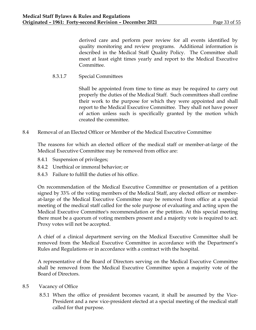derived care and perform peer review for all events identified by quality monitoring and review programs. Additional information is described in the Medical Staff Quality Policy. The Committee shall meet at least eight times yearly and report to the Medical Executive Committee.

8.3.1.7 Special Committees

Shall be appointed from time to time as may be required to carry out properly the duties of the Medical Staff. Such committees shall confine their work to the purpose for which they were appointed and shall report to the Medical Executive Committee. They shall not have power of action unless such is specifically granted by the motion which created the committee.

8.4 Removal of an Elected Officer or Member of the Medical Executive Committee

The reasons for which an elected officer of the medical staff or member-at-large of the Medical Executive Committee may be removed from office are:

- 8.4.1 Suspension of privileges;
- 8.4.2 Unethical or immoral behavior; or
- 8.4.3 Failure to fulfill the duties of his office.

On recommendation of the Medical Executive Committee or presentation of a petition signed by 33% of the voting members of the Medical Staff, any elected officer or memberat-large of the Medical Executive Committee may be removed from office at a special meeting of the medical staff called for the sole purpose of evaluating and acting upon the Medical Executive Committee's recommendation or the petition. At this special meeting there must be a quorum of voting members present and a majority vote is required to act. Proxy votes will not be accepted.

A chief of a clinical department serving on the Medical Executive Committee shall be removed from the Medical Executive Committee in accordance with the Department's Rules and Regulations or in accordance with a contract with the hospital.

A representative of the Board of Directors serving on the Medical Executive Committee shall be removed from the Medical Executive Committee upon a majority vote of the Board of Directors.

- 8.5 Vacancy of Office
	- 8.5.1 When the office of president becomes vacant, it shall be assumed by the Vice-President and a new vice-president elected at a special meeting of the medical staff called for that purpose.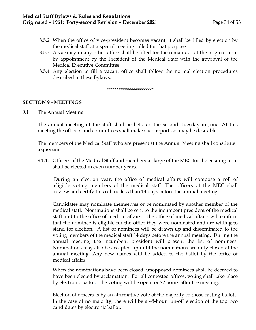- 8.5.2 When the office of vice-president becomes vacant, it shall be filled by election by the medical staff at a special meeting called for that purpose.
- 8.5.3 A vacancy in any other office shall be filled for the remainder of the original term by appointment by the President of the Medical Staff with the approval of the Medical Executive Committee.
- 8.5.4 Any election to fill a vacant office shall follow the normal election procedures described in these Bylaws.

\*\*\*\*\*\*\*\*\*\*\*\*\*\*\*\*\*\*\*\*\*\*\*\*

## **SECTION 9 - MEETINGS**

9.1 The Annual Meeting

The annual meeting of the staff shall be held on the second Tuesday in June. At this meeting the officers and committees shall make such reports as may be desirable.

The members of the Medical Staff who are present at the Annual Meeting shall constitute a quorum.

9.1.1. Officers of the Medical Staff and members-at-large of the MEC for the ensuing term shall be elected in even number years.

During an election year, the office of medical affairs will compose a roll of eligible voting members of the medical staff. The officers of the MEC shall review and certify this roll no less than 14 days before the annual meeting.

Candidates may nominate themselves or be nominated by another member of the medical staff. Nominations shall be sent to the incumbent president of the medical staff and to the office of medical affairs. The office of medical affairs will confirm that the nominee is eligible for the office they were nominated and are willing to stand for election. A list of nominees will be drawn up and disseminated to the voting members of the medical staff 14 days before the annual meeting. During the annual meeting, the incumbent president will present the list of nominees. Nominations may also be accepted up until the nominations are duly closed at the annual meeting. Any new names will be added to the ballot by the office of medical affairs.

When the nominations have been closed, unopposed nominees shall be deemed to have been elected by acclamation. For all contested offices, voting shall take place by electronic ballot. The voting will be open for 72 hours after the meeting.

Election of officers is by an affirmative vote of the majority of those casting ballots. In the case of no majority, there will be a 48-hour run-off election of the top two candidates by electronic ballot.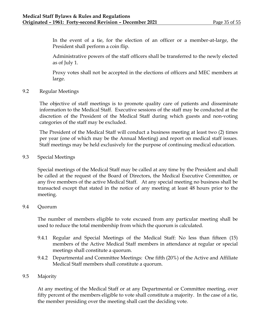In the event of a tie, for the election of an officer or a member-at-large, the President shall perform a coin flip.

Administrative powers of the staff officers shall be transferred to the newly elected as of July 1.

Proxy votes shall not be accepted in the elections of officers and MEC members at large.

9.2 Regular Meetings

The objective of staff meetings is to promote quality care of patients and disseminate information to the Medical Staff. Executive sessions of the staff may be conducted at the discretion of the President of the Medical Staff during which guests and non-voting categories of the staff may be excluded.

The President of the Medical Staff will conduct a business meeting at least two (2) times per year (one of which may be the Annual Meeting) and report on medical staff issues. Staff meetings may be held exclusively for the purpose of continuing medical education.

9.3 Special Meetings

Special meetings of the Medical Staff may be called at any time by the President and shall be called at the request of the Board of Directors, the Medical Executive Committee, or any five members of the active Medical Staff. At any special meeting no business shall be transacted except that stated in the notice of any meeting at least 48 hours prior to the meeting.

## 9.4 Quorum

The number of members eligible to vote excused from any particular meeting shall be used to reduce the total membership from which the quorum is calculated.

- 9.4.1 Regular and Special Meetings of the Medical Staff: No less than fifteen (15) members of the Active Medical Staff members in attendance at regular or special meetings shall constitute a quorum.
- 9.4.2 Departmental and Committee Meetings: One fifth (20%) of the Active and Affiliate Medical Staff members shall constitute a quorum.

# 9.5 Majority

At any meeting of the Medical Staff or at any Departmental or Committee meeting, over fifty percent of the members eligible to vote shall constitute a majority. In the case of a tie, the member presiding over the meeting shall cast the deciding vote.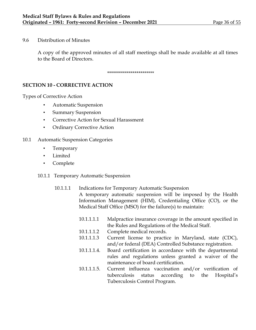# 9.6 Distribution of Minutes

A copy of the approved minutes of all staff meetings shall be made available at all times to the Board of Directors.

\*\*\*\*\*\*\*\*\*\*\*\*\*\*\*\*\*\*\*\*\*\*\*\*

# **SECTION 10 - CORRECTIVE ACTION**

Types of Corrective Action

- Automatic Suspension
- Summary Suspension
- Corrective Action for Sexual Harassment
- Ordinary Corrective Action

# 10.1 Automatic Suspension Categories

- **Temporary**
- Limited
- Complete

## 10.1.1 Temporary Automatic Suspension

# 10.1.1.1 Indications for Temporary Automatic Suspension A temporary automatic suspension will be imposed by the Health Information Management (HIM), Credentialing Office (CO), or the Medical Staff Office (MSO) for the failure(s) to maintain:

- 10.1.1.1.1 Malpractice insurance coverage in the amount specified in the Rules and Regulations of the Medical Staff.
- 10.1.1.1.2 Complete medical records.
- 10.1.1.1.3 Current license to practice in Maryland, state (CDC), and/or federal (DEA) Controlled Substance registration.
- 10.1.1.1.4. Board certification in accordance with the departmental rules and regulations unless granted a waiver of the maintenance of board certification.
- 10.1.1.1.5. Current influenza vaccination and/or verification of tuberculosis status according to the Hospital's Tuberculosis Control Program.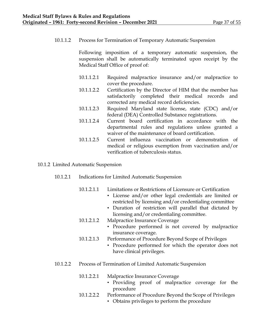10.1.1.2 Process for Termination of Temporary Automatic Suspension

Following imposition of a temporary automatic suspension, the suspension shall be automatically terminated upon receipt by the Medical Staff Office of proof of:

- 10.1.1.2.1 Required malpractice insurance and/or malpractice to cover the procedure.
- 10.1.1.2.2 Certification by the Director of HIM that the member has satisfactorily completed their medical records and corrected any medical record deficiencies.
- 10.1.1.2.3 Required Maryland state license, state (CDC) and/or federal (DEA) Controlled Substance registrations.
- 10.1.1.2.4 Current board certification in accordance with the departmental rules and regulations unless granted a waiver of the maintenance of board certification.
- 10.1.1.2.5 Current influenza vaccination or demonstration of medical or religious exemption from vaccination and/or verification of tuberculosis status.
- 10.1.2 Limited Automatic Suspension
	- 10.1.2.1 Indications for Limited Automatic Suspension
		- 10.1.2.1.1 Limitations or Restrictions of Licensure or Certification
			- License and/or other legal credentials are limited or restricted by licensing and/or credentialing committee
			- Duration of restriction will parallel that dictated by licensing and/or credentialing committee.
		- 10.1.2.1.2 Malpractice Insurance Coverage
			- Procedure performed is not covered by malpractice insurance coverage.
		- 10.1.2.1.3 Performance of Procedure Beyond Scope of Privileges
			- Procedure performed for which the operator does not have clinical privileges.
	- 10.1.2.2 Process of Termination of Limited Automatic Suspension
		- 10.1.2.2.1 Malpractice Insurance Coverage
			- Providing proof of malpractice coverage for the procedure
		- 10.1.2.2.2 Performance of Procedure Beyond the Scope of Privileges
			- Obtains privileges to perform the procedure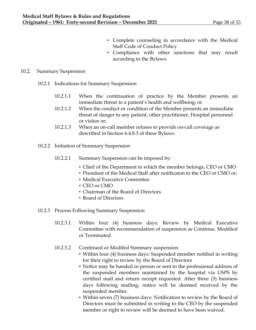- Complete counseling in accordance with the Medical Staff Code of Conduct Policy
- Compliance with other sanctions that may result according to the Bylaws.

# 10.2. Summary Suspension

- 10.2.1 Indications for Summary Suspension
	- 10.2.1.1 When the continuation of practice by the Member presents an immediate threat to a patient's health and wellbeing; or
	- 10.2.1.2 When the conduct or condition of the Member presents an immediate threat of danger to any patient, other practitioner, Hospital personnel or visitor or;
	- 10.2.1.3 When an on-call member refuses to provide on-call coverage as described in Section 6.4.8.3 of these Bylaws.
- 10.2.2 Initiation of Summary Suspension
	- 10.2.2.1 Summary Suspension can be imposed by:
		- Chief of the Department to which the member belongs, CEO or CMO
		- President of the Medical Staff after notificaton to the CEO or CMO or;
		- Medical Executive Committee
		- CEO or CMO
		- Chairman of the Board of Directors
		- Board of Directors
- 10.2.3 Process Following Summary Suspension
	- 10.2.3.1 Within four (4) business days: Review by Medical Executive Committee with recommendation of suspension as Continue, Modified or Terminated
	- 10.2.3.2 Continued or Modifed Summary suspension
		- Within four (4) business days: Suspended member notified in writing for their right to review by the Board of Directors
		- Notice may be handed in person or sent to the professional address of the suspended members maintained by the hospital via USPS by certified mail and return receipt requested. After three (3) business days following mailing, notice will be deemed received by the suspended member.
		- Within seven (7) business days: Notification to review by the Board of Directors must be submitted in writing to the CEO by the suspended member or right to review will be deemed to have been waived.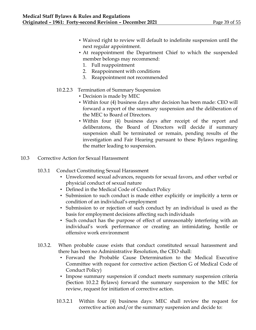- Waived right to review will default to indefinite suspension until the next regular appointment.
- At reappointment the Department Chief to which the suspended member belongs may recommend:
	- 1. Full reappointment
	- 2. Reappoinment with conditions
	- 3. Reappointment not recommended
- 10.2.2.3 Termination of Summary Suspension
	- Decision is made by MEC
	- Within four (4) business days after decision has been made: CEO will forward a report of the summary suspension and the deliberation of the MEC to Board of Directors.
	- Within four (4) business days after receipt of the report and deliberatons, the Board of Directors will decide if summary suspension shall be terminated or remain, pending results of the investigation and Fair Hearing pursuant to these Bylaws regarding the matter leading to suspension.
- 10.3 Corrective Action for Sexual Harassment
	- 10.3.1 Conduct Constituting Sexual Harassment
		- Unwelcomed sexual advances, requests for sexual favors, and other verbal or physicial conduct of sexual nature
		- Defined in the Medical Code of Conduct Policy
		- Submission to such conduct is made either explicitly or implicitly a term or condition of an individual's employment
		- Submission to or rejection of such conduct by an individual is used as the basis for employment decisions affecting such individuals
		- Such conduct has the purpose of effect of unreasonably interfering with an individual's work performance or creating an intimidating, hostile or offensive work environment
	- 10.3.2. When probable cause exists that conduct constituted sexual harassment and there has been no Administrative Resolution, the CEO shall:
		- Forward the Probable Cause Determination to the Medical Executive Committee with request for corrective action (Section G of Medical Code of Conduct Policy)
		- Impose summary suspension if conduct meets summary suspension criteria (Section 10.2.2 Bylaws) forward the summary suspension to the MEC for review, request for initiation of corrective action.
		- 10.3.2.1 Within four (4) business days: MEC shall review the request for corrective action and/or the summary suspension and decide to: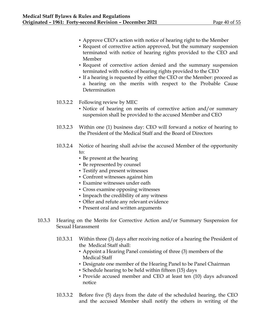- Approve CEO's action with notice of hearing right to the Member
- Request of corrective action approved, but the summary suspension terminated with notice of hearing rights provided to the CEO and Member
- Request of corrective action denied and the summary suspension terminated with notice of hearing rights provided to the CEO
- If a hearing is requested by either the CEO or the Member: proceed as a hearing on the merits with respect to the Probable Cause Determination
- 10.3.2.2 Following review by MEC
	- Notice of hearing on merits of corrective action and/or summary suspension shall be provided to the accused Member and CEO
- 10.3.2.3 Within one (1) business day: CEO will forward a notice of hearing to the President of the Medical Staff and the Board of Directors
- 10.3.2.4 Notice of hearing shall advise the accused Member of the opportunity to:
	- Be present at the hearing
	- Be represented by counsel
	- Testify and present witnesses
	- Confront witnesses against him
	- Examine witnesses under oath
	- Cross examine opposing witnesses
	- Impeach the credibility of any witness
	- Offer and refute any relevant evidence
	- Present oral and written arguments
- 10.3.3 Hearing on the Merits for Corrective Action and/or Summary Suspension for Sexual Harassment
	- 10.3.3.1 Within three (3) days after receiving notice of a hearing the President of the Medical Staff shall:
		- Appoint a Hearing Panel consisting of three (3) members of the Medical Staff
		- Designate one member of the Hearing Panel to be Panel Chairman
		- Schedule hearing to be held within fifteen (15) days
		- Provide accused member and CEO at least ten (10) days advanced notice
	- 10.3.3.2 Before five (5) days from the date of the scheduled hearing, the CEO and the accused Member shall notify the others in writing of the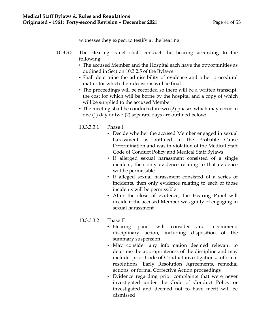witnesses they expect to testify at the hearing.

- 10.3.3.3 The Hearing Panel shall conduct the hearing according to the following:
	- The accused Member and the Hospital each have the opportunities as outlined in Section 10.3.2.5 of the Bylaws
	- Shall determine the admissibility of evidence and other procedural matter for which their decisions will be final
	- The proceedings will be recorded so there will be a written transcipt, the cost for which will be borne by the hospital and a copy of which will be supplied to the accused Member
	- The meeting shall be conducted in two (2) phases which may occur in one (1) day or two (2) separate days are outlined below:
	- 10.3.3.3.1 Phase I
		- Decide whether the accused Member engaged in sexual harassment as outlined in the Probable Cause Determination and was in violation of the Medical Staff Code of Conduct Policy and Medical Staff Bylaws
		- If allerged sexual harassment consisted of a single incident, then only evidence relating to that evidence will be permissible
		- If alleged sexual harassment consisted of a series of incidents, then only evidence relating to each of those incidents will be permissible
		- After the close of evidence, the Hearing Panel will decide if the accused Member was guilty of engaging in sexual harassment

# 10.3.3.3.2 Phase II

- Hearing panel will consider and recommend disciplinary action, including disposition of the summary suspension
- May consider any information deemed relevant to deterime the appropriateness of the discipline and may include: prior Code of Conduct investigations, informal resolutions, Early Resolution Agreements, remedial actions, or formal Corrective Action proceedings
- Evidence regarding prior complaints that were never investigated under the Code of Conduct Policy or investigated and deemed not to have merit will be dismissed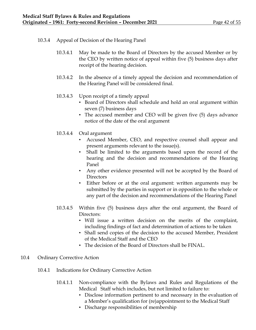- 10.3.4 Appeal of Decision of the Hearing Panel
	- 10.3.4.1 May be made to the Board of Directors by the accused Member or by the CEO by written notice of appeal within five (5) business days after receipt of the hearing decision.
	- 10.3.4.2 In the absence of a timely appeal the decision and recommendation of the Hearing Panel will be considered final.
	- 10.3.4.3 Upon receipt of a timely appeal
		- Board of Directors shall schedule and hold an oral argument within seven (7) business days
		- The accused member and CEO will be given five (5) days advance notice of the date of the oral argument
	- 10.3.4.4 Oral argument
		- Accused Member, CEO, and respective counsel shall appear and present arguments relevant to the issue(s).
		- Shall be limited to the arguments based upon the record of the hearing and the decision and recommendations of the Hearing Panel
		- Any other evidence presented will not be accepted by the Board of **Directors**
		- Either before or at the oral argument: written arguments may be submitted by the parties in support or in opposition to the whole or any part of the decision and recommendations of the Hearing Panel
	- 10.3.4.5 Within five (5) business days after the oral argument, the Board of Directors:
		- Will issue a written decision on the merits of the complaint, including findings of fact and determination of actions to be taken
		- Shall send copies of the decision to the accused Member, President of the Medical Staff and the CEO
		- The decision of the Board of Directors shall be FINAL.
- 10.4 Ordinary Corrective Action
	- 10.4.1 Indications for Ordinary Corrective Action
		- 10.4.1.1 Non-compliance with the Bylaws and Rules and Regulations of the Medical Staff which includes, but not limited to failure to:
			- Disclose information pertinent to and necessary in the evaluation of a Member's qualification for (re)appointment to the Medical Staff
			- Discharge responsibilities of membership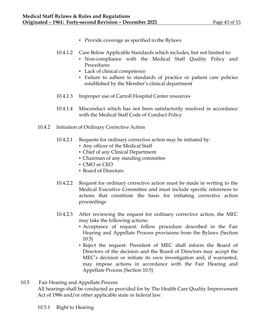- Provide coverage as specified in the Bylaws
- 10.4.1.2 Care Below Applicable Standards which includes, but not limited to:
	- Non-compliance with the Medical Staff Quality Policy and Procedures
		- Lack of clinical competence
		- Failure to adhere to standards of practice or patient care policies established by the Member's clinical department
- 10.4.1.3 Improper use of Carroll Hospital Center resources
- 10.4.1.4 Misconduct which has not been satisfactorily resolved in accordance with the Medical Staff Code of Conduct Policy
- 10.4.2 Initiation of Ordinary Corrective Action
	- 10.4.2.1 Requests for ordinary corrective action may be initiated by:
		- Any officer of the Medical Staff
		- Chief of any Clinical Department
		- Chairman of any standing committee
		- CMO or CEO
		- Board of Directors
	- 10.4.2.2 Request for ordinary corrective action must be made in writing to the Medical Executive Committee and must include specific references to actions that constitute the basis for initiating corrective action proceedings
	- 10.4.2.3 After reviewing the request for ordinary corrective action, the MEC may take the following actions:
		- Acceptance of request: follow procedure described in the Fair Hearing and Appellate Process provisions from the Bylaws (Section 10.5)
		- Reject the request: President of MEC shall inform the Board of Directors of the decision and the Board of Directors may accept the MEC's decision or initiate its own investigation and, if warranted, may impose actions in accordance with the Fair Hearing and Appellate Process (Section 10.5)
- 10.5 Fair Hearing and Appellate Process

All hearings shall be conducted as provided for by The Health Care Quality Improvement Act of 1986 and/or other applicable state or federal law.

10.5.1 Right to Hearing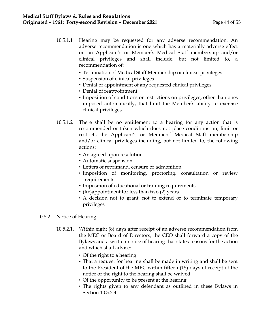- 10.5.1.1 Hearing may be requested for any adverse recommendation. An adverse recommendation is one which has a materially adverse effect on an Applicant's or Member's Medical Staff membership and/or clinical privileges and shall include, but not limited to, a recommendation of:
	- Termination of Medical Staff Membership or clinical privileges
	- Suspension of clinical privileges
	- Denial of appointment of any requested clinical privileges
	- Denial of reappointment
	- Imposition of conditions or restrictions on privileges, other than ones imposed automatically, that limit the Member's ability to exercise clinical privileges
- 10.5.1.2 There shall be no entitlement to a hearing for any action that is recommended or taken which does not place conditions on, limit or restricts the Applicant's or Members' Medical Staff membership and/or clinical privileges including, but not limited to, the following actions:
	- An agreed upon resolution
	- Automatic suspension
	- Letters of reprimand, censure or admonition
	- Imposition of monitoring, proctoring, consultation or review requirements
	- Imposition of educational or training requirements
	- (Re)appointment for less than two (2) years
	- A decision not to grant, not to extend or to terminate temporary privileges

# 10.5.2 Notice of Hearing

- 10.5.2.1. Within eight (8) days after receipt of an adverse recommendation from the MEC or Board of Directors, the CEO shall forward a copy of the Bylaws and a written notice of hearing that states reasons for the action and which shall advise:
	- Of the right to a hearing
	- That a request for hearing shall be made in writing and shall be sent to the President of the MEC within fifteen (15) days of receipt of the notice or the right to the hearing shall be waived
	- Of the opportunity to be present at the hearing
	- The rights given to any defendant as outlined in these Bylaws in Section 10.3.2.4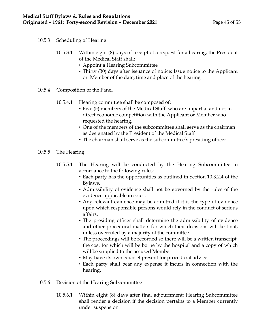- 10.5.3 Scheduling of Hearing
	- 10.5.3.1 Within eight (8) days of receipt of a request for a hearing, the President of the Medical Staff shall:
		- Appoint a Hearing Subcommittee
		- Thirty (30) days after issuance of notice: Issue notice to the Applicant or Member of the date, time and place of the hearing
- 10.5.4 Composition of the Panel
	- 10.5.4.1 Hearing committee shall be composed of:
		- Five (5) members of the Medical Staff: who are impartial and not in direct economic competition with the Applicant or Member who requested the hearing.
		- One of the members of the subcommittee shall serve as the chairman as designated by the President of the Medical Staff
		- The chairman shall serve as the subcommittee's presiding officer.
- 10.5.5 The Hearing
	- 10.5.5.1 The Hearing will be conducted by the Hearing Subcommittee in accordance to the following rules:
		- Each party has the opportunities as outlined in Section 10.3.2.4 of the Bylaws.
		- Admissibility of evidence shall not be governed by the rules of the evidence applicable in court.
		- Any relevant evidence may be admitted if it is the type of evidence upon which responsible persons would rely in the conduct of serious affairs.
		- The presiding officer shall determine the admissibility of evidence and other procedural matters for which their decisions will be final, unless overruled by a majority of the committee
		- The proceedings will be recorded so there will be a written transcript, the cost for which will be borne by the hospital and a copy of which will be supplied to the accused Member
		- May have its own counsel present for procedural advice
		- Each party shall bear any expense it incurs in connection with the hearing.
- 10.5.6 Decision of the Hearing Subcommittee
	- 10.5.6.1 Within eight (8) days after final adjournment: Hearing Subcommittee shall render a decision if the decision pertains to a Member currently under suspension.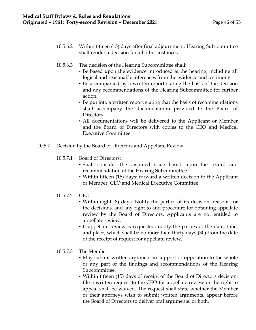- 10.5.6.2 Within fifteen (15) days after final adjournment: Hearing Subcommittee shall render a decision for all other instances.
- 10.5.6.3 The decision of the Hearing Subcommittee shall:
	- Be based upon the evidence introduced at the hearing, including all logical and reasonable inferences from the evidence and testimony.
	- Be accompanied by a written report stating the basis of the decision and any recommendations of the Hearing Subcommittee for further action.
	- Be put into a written report stating that the basis of recommendations shall accompany the documentation provided to the Board of **Directors**
	- All documentations will be delivered to the Applicant or Member and the Board of Directors with copies to the CEO and Medical Executive Committee.
- 10.5.7 Decision by the Board of Directors and Appellate Review
	- 10.5.7.1 Board of Directors:
		- Shall consider the disputed issue based upon the record and recommendation of the Hearing Subcommittee.
		- Within fifteen (15) days: forward a written decision to the Applicant or Member, CEO and Medical Executive Committee.
	- 10.5.7.2 CEO
		- Within eight (8) days: Notify the parties of its decision, reasons for the decisions, and any right to and procedure for obtaining appellate review by the Board of Directors. Applicants are not entitled to appellate review.
		- If appellate review is requested, notify the parties of the date, time, and place, which shall be no more than thirty days (30) from the date of the receipt of request for appellate review.
	- 10.5.7.3 The Member:
		- May submit written argument in support or opposition to the whole or any part of the findings and recommendations of the Hearing Subcommittee.
		- Within fifteen (15) days of receipt of the Board of Directors decision: file a written request to the CEO for appellate review or the right to appeal shall be waived. The request shall state whether the Member or their attorneys wish to submit written arguments, appear before the Board of Directors to deliver oral arguments, or both.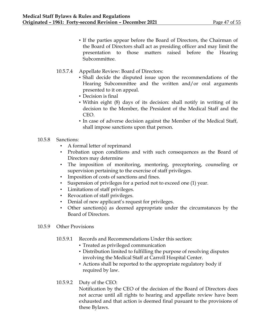- If the parties appear before the Board of Directors, the Chairman of the Board of Directors shall act as presiding officer and may limit the presentation to those matters raised before the Hearing Subcommittee.
- 10.5.7.4 Appellate Review: Board of Directors:
	- Shall decide the disputed issue upon the recommendations of the Hearing Subcommittee and the written and/or oral arguments presented to it on appeal.
	- Decision is final
	- Within eight (8) days of its decision: shall notify in writing of its decision to the Member, the President of the Medical Staff and the CEO.
	- In case of adverse decision against the Member of the Medical Staff, shall impose sanctions upon that person.
- 10.5.8 Sanctions:
	- A formal letter of reprimand
	- Probation upon conditions and with such consequences as the Board of Directors may determine
	- The imposition of monitoring, mentoring, preceptoring, counseling or supervision pertaining to the exercise of staff privileges.
	- Imposition of costs of sanctions and fines.
	- Suspension of privileges for a period not to exceed one (1) year.
	- Limitations of staff privileges.
	- Revocation of staff privileges.
	- Denial of new applicant's request for privileges.
	- Other sanction(s) as deemed appropriate under the circumstances by the Board of Directors.
- 10.5.9 Other Provisions
	- 10.5.9.1 Records and Recommendations Under this section:
		- Treated as privileged communication
		- Distribution limited to fulfilling the purpose of resolving disputes involving the Medical Staff at Carroll Hospital Center.
		- Actions shall be reported to the appropriate regulatory body if required by law.
	- 10.5.9.2 Duty of the CEO:

Notification by the CEO of the decision of the Board of Directors does not accrue until all rights to hearing and appellate review have been exhausted and that action is deemed final pusuant to the provisions of these Bylaws.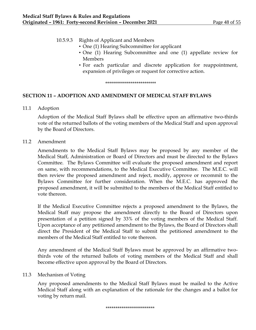| 10.5.9.3 | Rights of Applicant and Members                                                                                                |
|----------|--------------------------------------------------------------------------------------------------------------------------------|
|          | • One (1) Hearing Subcommittee for applicant                                                                                   |
|          | • One (1) Hearing Subcommittee and one (1) appellate review for                                                                |
|          | <b>Members</b>                                                                                                                 |
|          | • For each particular and discrete application for reappointment,<br>expansion of privileges or request for corrective action. |

\*\*\*\*\*\*\*\*\*\*\*\*\*\*\*\*\*\*\*\*\*\*\*\*\*\*

## **SECTION 11 – ADOPTION AND AMENDMENT OF MEDICAL STAFF BYLAWS**

11.1 Adoption

Adoption of the Medical Staff Bylaws shall be effective upon an affirmative two-thirds vote of the returned ballots of the voting members of the Medical Staff and upon approval by the Board of Directors.

11.2 Amendment

Amendments to the Medical Staff Bylaws may be proposed by any member of the Medical Staff, Administration or Board of Directors and must be directed to the Bylaws Committee. The Bylaws Committee will evaluate the proposed amendment and report on same, with recommendations, to the Medical Executive Committee. The M.E.C. will then review the proposed amendment and reject, modify, approve or recommit to the Bylaws Committee for further consideration. When the M.E.C. has approved the proposed amendment, it will be submitted to the members of the Medical Staff entitled to vote thereon.

If the Medical Executive Committee rejects a proposed amendment to the Bylaws, the Medical Staff may propose the amendment directly to the Board of Directors upon presentation of a petition signed by 33% of the voting members of the Medical Staff. Upon acceptance of any petitioned amendment to the Bylaws, the Board of Directors shall direct the President of the Medical Staff to submit the petitioned amendment to the members of the Medical Staff entitled to vote thereon.

Any amendment of the Medical Staff Bylaws must be approved by an affirmative twothirds vote of the returned ballots of voting members of the Medical Staff and shall become effective upon approval by the Board of Directors.

## 11.3 Mechanism of Voting

Any proposed amendments to the Medical Staff Bylaws must be mailed to the Active Medical Staff along with an explanation of the rationale for the changes and a ballot for voting by return mail.

#### \*\*\*\*\*\*\*\*\*\*\*\*\*\*\*\*\*\*\*\*\*\*\*\*\*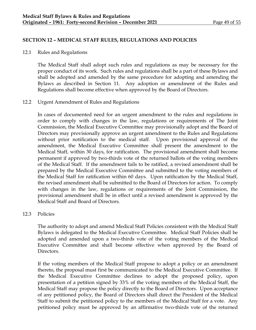# **SECTION 12 – MEDICAL STAFF RULES, REGULATIONS AND POLICIES**

12.1 Rules and Regulations

The Medical Staff shall adopt such rules and regulations as may be necessary for the proper conduct of its work. Such rules and regulations shall be a part of these Bylaws and shall be adopted and amended by the same procedure for adopting and amending the Bylaws as described in Section 11. Any adoption or amendment of the Rules and Regulations shall become effective when approved by the Board of Directors.

# 12.2 Urgent Amendment of Rules and Regulations

In cases of documented need for an urgent amendment to the rules and regulations in order to comply with changes in the law, regulations or requirements of The Joint Commission, the Medical Executive Committee may provisionally adopt and the Board of Directors may provisionally approve an urgent amendment to the Rules and Regulations without prior notification to the medical staff. Upon provisional approval of the amendment, the Medical Executive Committee shall present the amendment to the Medical Staff, within 30 days, for ratification. The provisional amendment shall become permanent if approved by two-thirds vote of the returned ballots of the voting members of the Medical Staff. If the amendment fails to be ratified, a revised amendment shall be prepared by the Medical Executive Committee and submitted to the voting members of the Medical Staff for ratification within 60 days. Upon ratification by the Medical Staff, the revised amendment shall be submitted to the Board of Directors for action. To comply with changes in the law, regulations or requirements of the Joint Commission, the provisional amendment shall be in effect until a revised amendment is approved by the Medical Staff and Board of Directors.

## 12.3 Policies

The authority to adopt and amend Medical Staff Policies consistent with the Medical Staff Bylaws is delegated to the Medical Executive Committee. Medical Staff Policies shall be adopted and amended upon a two-thirds vote of the voting members of the Medical Executive Committee and shall become effective when approved by the Board of Directors.

If the voting members of the Medical Staff propose to adopt a policy or an amendment thereto, the proposal must first be communicated to the Medical Executive Committee. If the Medical Executive Committee declines to adopt the proposed policy, upon presentation of a petition signed by 33% of the voting members of the Medical Staff, the Medical Staff may propose the policy directly to the Board of Directors. Upon acceptance of any petitioned policy, the Board of Directors shall direct the President of the Medical Staff to submit the petitioned policy to the members of the Medical Staff for a vote. Any petitioned policy must be approved by an affirmative two-thirds vote of the returned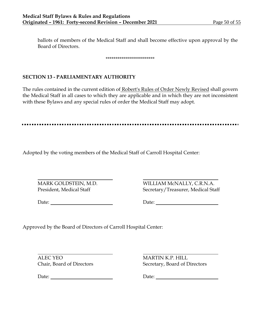ballots of members of the Medical Staff and shall become effective upon approval by the Board of Directors.

#### \*\*\*\*\*\*\*\*\*\*\*\*\*\*\*\*\*\*\*\*\*\*\*\*\*

# **SECTION 13 - PARLIAMENTARY AUTHORITY**

The rules contained in the current edition of Robert's Rules of Order Newly Revised shall govern the Medical Staff in all cases to which they are applicable and in which they are not inconsistent with these Bylaws and any special rules of order the Medical Staff may adopt.

Adopted by the voting members of the Medical Staff of Carroll Hospital Center:

MARK GOLDSTEIN, M.D. WILLIAM McNALLY, C.R.N.A. President, Medical Staff Secretary/Treasurer, Medical Staff

Date: Date:

Approved by the Board of Directors of Carroll Hospital Center:

ALEC YEO MARTIN K.P. HILL

Date: Date: Date:

Chair, Board of Directors Secretary, Board of Directors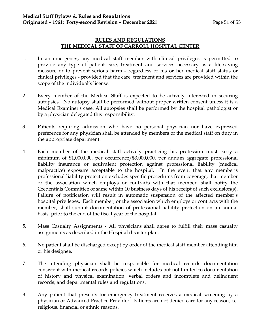# **RULES AND REGULATIONS THE MEDICAL STAFF OF CARROLL HOSPITAL CENTER**

- 1. In an emergency, any medical staff member with clinical privileges is permitted to provide any type of patient care, treatment and services necessary as a life-saving measure or to prevent serious harm - regardless of his or her medical staff status or clinical privileges - provided that the care, treatment and services are provided within the scope of the individual's license.
- 2. Every member of the Medical Staff is expected to be actively interested in securing autopsies. No autopsy shall be performed without proper written consent unless it is a Medical Examiner's case. All autopsies shall be performed by the hospital pathologist or by a physician delegated this responsibility.
- 3. Patients requiring admission who have no personal physician nor have expressed preference for any physician shall be attended by members of the medical staff on duty in the appropriate department.
- 4. Each member of the medical staff actively practicing his profession must carry a minimum of \$1,000,000. per occurrence/\$3,000,000. per annum aggregate professional liability insurance or equivalent protection against professional liability (medical malpractice) exposure acceptable to the hospital. In the event that any member's professional liability protection excludes specific procedures from coverage, that member or the association which employs or contracts with that member, shall notify the Credentials Committee of same within 10 business days of his receipt of such exclusion(s). Failure of notification will result in automatic suspension of the affected member's hospital privileges. Each member, or the association which employs or contracts with the member, shall submit documentation of professional liability protection on an annual basis, prior to the end of the fiscal year of the hospital.
- 5. Mass Casualty Assignments All physicians shall agree to fulfill their mass casualty assignments as described in the Hospital disaster plan.
- 6. No patient shall be discharged except by order of the medical staff member attending him or his designee.
- 7. The attending physician shall be responsible for medical records documentation consistent with medical records policies which includes but not limited to documentation of history and physical examination, verbal orders and incomplete and delinquent records; and departmental rules and regulations.
- 8. Any patient that presents for emergency treatment receives a medical screening by a physician or Advanced Practice Provider. Patients are not denied care for any reason, i.e. religious, financial or ethnic reasons.